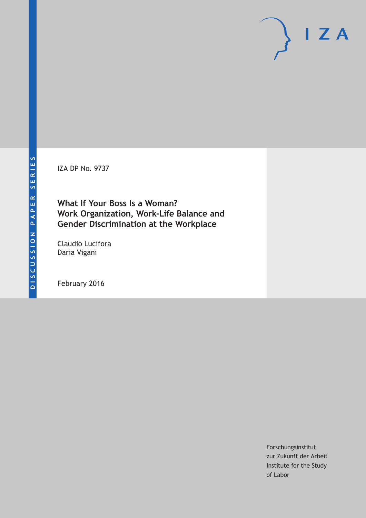IZA DP No. 9737

**What If Your Boss Is a Woman? Work Organization, Work-Life Balance and Gender Discrimination at the Workplace**

Claudio Lucifora Daria Vigani

February 2016

Forschungsinstitut zur Zukunft der Arbeit Institute for the Study of Labor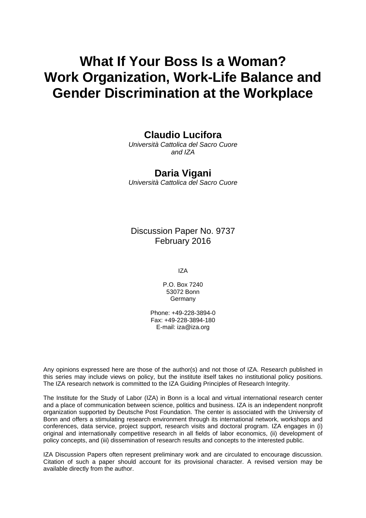# **What If Your Boss Is a Woman? Work Organization, Work-Life Balance and Gender Discrimination at the Workplace**

## **Claudio Lucifora**

*Università Cattolica del Sacro Cuore and IZA* 

### **Daria Vigani**

*Università Cattolica del Sacro Cuore* 

Discussion Paper No. 9737 February 2016

IZA

P.O. Box 7240 53072 Bonn **Germany** 

Phone: +49-228-3894-0 Fax: +49-228-3894-180 E-mail: iza@iza.org

Any opinions expressed here are those of the author(s) and not those of IZA. Research published in this series may include views on policy, but the institute itself takes no institutional policy positions. The IZA research network is committed to the IZA Guiding Principles of Research Integrity.

The Institute for the Study of Labor (IZA) in Bonn is a local and virtual international research center and a place of communication between science, politics and business. IZA is an independent nonprofit organization supported by Deutsche Post Foundation. The center is associated with the University of Bonn and offers a stimulating research environment through its international network, workshops and conferences, data service, project support, research visits and doctoral program. IZA engages in (i) original and internationally competitive research in all fields of labor economics, (ii) development of policy concepts, and (iii) dissemination of research results and concepts to the interested public.

IZA Discussion Papers often represent preliminary work and are circulated to encourage discussion. Citation of such a paper should account for its provisional character. A revised version may be available directly from the author.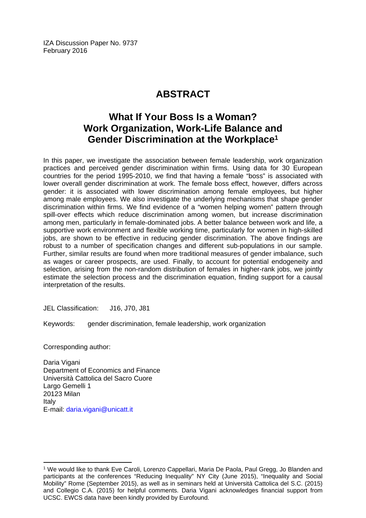IZA Discussion Paper No. 9737 February 2016

# **ABSTRACT**

# **What If Your Boss Is a Woman? Work Organization, Work-Life Balance and Gender Discrimination at the Workplace1**

In this paper, we investigate the association between female leadership, work organization practices and perceived gender discrimination within firms. Using data for 30 European countries for the period 1995-2010, we find that having a female "boss" is associated with lower overall gender discrimination at work. The female boss effect, however, differs across gender: it is associated with lower discrimination among female employees, but higher among male employees. We also investigate the underlying mechanisms that shape gender discrimination within firms. We find evidence of a "women helping women" pattern through spill-over effects which reduce discrimination among women, but increase discrimination among men, particularly in female-dominated jobs. A better balance between work and life, a supportive work environment and flexible working time, particularly for women in high-skilled jobs, are shown to be effective in reducing gender discrimination. The above findings are robust to a number of specification changes and different sub-populations in our sample. Further, similar results are found when more traditional measures of gender imbalance, such as wages or career prospects, are used. Finally, to account for potential endogeneity and selection, arising from the non-random distribution of females in higher-rank jobs, we jointly estimate the selection process and the discrimination equation, finding support for a causal interpretation of the results.

JEL Classification: J16, J70, J81

Keywords: gender discrimination, female leadership, work organization

Corresponding author:

 $\overline{a}$ 

Daria Vigani Department of Economics and Finance Università Cattolica del Sacro Cuore Largo Gemelli 1 20123 Milan Italy E-mail: daria.vigani@unicatt.it

<sup>1</sup> We would like to thank Eve Caroli, Lorenzo Cappellari, Maria De Paola, Paul Gregg, Jo Blanden and participants at the conferences "Reducing Inequality" NY City (June 2015), "Inequality and Social Mobility" Rome (September 2015), as well as in seminars held at Università Cattolica del S.C. (2015) and Collegio C.A. (2015) for helpful comments. Daria Vigani acknowledges financial support from UCSC. EWCS data have been kindly provided by Eurofound.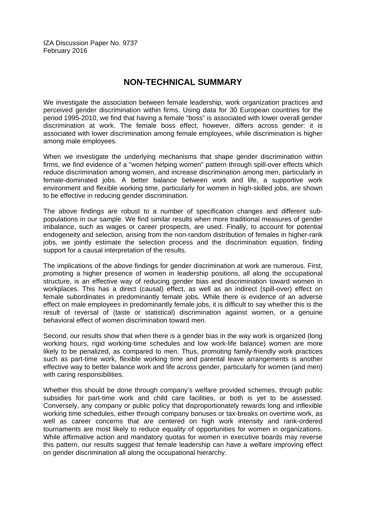IZA Discussion Paper No. 9737 February 2016

### **NON-TECHNICAL SUMMARY**

We investigate the association between female leadership, work organization practices and perceived gender discrimination within firms. Using data for 30 European countries for the period 1995-2010, we find that having a female "boss" is associated with lower overall gender discrimination at work. The female boss effect, however, differs across gender: it is associated with lower discrimination among female employees, while discrimination is higher among male employees.

When we investigate the underlying mechanisms that shape gender discrimination within firms, we find evidence of a "women helping women" pattern through spill-over effects which reduce discrimination among women, and increase discrimination among men, particularly in female-dominated jobs. A better balance between work and life, a supportive work environment and flexible working time, particularly for women in high-skilled jobs, are shown to be effective in reducing gender discrimination.

The above findings are robust to a number of specification changes and different subpopulations in our sample. We find similar results when more traditional measures of gender imbalance, such as wages or career prospects, are used. Finally, to account for potential endogeneity and selection, arising from the non-random distribution of females in higher-rank jobs, we jointly estimate the selection process and the discrimination equation, finding support for a causal interpretation of the results.

The implications of the above findings for gender discrimination at work are numerous. First, promoting a higher presence of women in leadership positions, all along the occupational structure, is an effective way of reducing gender bias and discrimination toward women in workplaces. This has a direct (causal) effect, as well as an indirect (spill-over) effect on female subordinates in predominantly female jobs. While there is evidence of an adverse effect on male employees in predominantly female jobs, it is difficult to say whether this is the result of reversal of (taste or statistical) discrimination against women, or a genuine behavioral effect of women discrimination toward men.

Second, our results show that when there is a gender bias in the way work is organized (long working hours, rigid working-time schedules and low work-life balance) women are more likely to be penalized, as compared to men. Thus, promoting family-friendly work practices such as part-time work, flexible working time and parental leave arrangements is another effective way to better balance work and life across gender, particularly for women (and men) with caring responsibilities.

Whether this should be done through company's welfare provided schemes, through public subsidies for part-time work and child care facilities, or both is yet to be assessed. Conversely, any company or public policy that disproportionately rewards long and inflexible working time schedules, either through company bonuses or tax-breaks on overtime work, as well as career concerns that are centered on high work intensity and rank-ordered tournaments are most likely to reduce equality of opportunities for women in organizations. While affirmative action and mandatory quotas for women in executive boards may reverse this pattern, our results suggest that female leadership can have a welfare improving effect on gender discrimination all along the occupational hierarchy.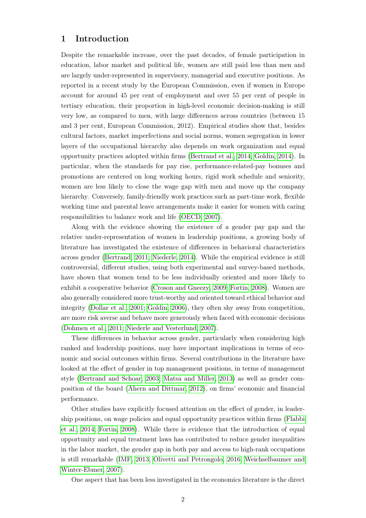### 1 Introduction

Despite the remarkable increase, over the past decades, of female participation in education, labor market and political life, women are still paid less than men and are largely under-represented in supervisory, managerial and executive positions. As reported in a recent study by the European Commission, even if women in Europe account for around 45 per cent of employment and over 55 per cent of people in tertiary education, their proportion in high-level economic decision-making is still very low, as compared to men, with large differences across countries (between 15 and 3 per cent, European Commission, 2012). Empirical studies show that, besides cultural factors, market imperfections and social norms, women segregation in lower layers of the occupational hierarchy also depends on work organization and equal opportunity practices adopted within firms [\(Bertrand et al., 2014;](#page-32-0) [Goldin, 2014\)](#page-33-0). In particular, when the standards for pay rise, performance-related-pay bonuses and promotions are centered on long working hours, rigid work schedule and seniority, women are less likely to close the wage gap with men and move up the company hierarchy. Conversely, family-friendly work practices such as part-time work, flexible working time and parental leave arrangements make it easier for women with caring responsibilities to balance work and life [\(OECD, 2007\)](#page-33-1).

Along with the evidence showing the existence of a gender pay gap and the relative under-representation of women in leadership positions, a growing body of literature has investigated the existence of differences in behavioral characteristics across gender [\(Bertrand, 2011;](#page-32-1) [Niederle, 2014\)](#page-33-2). While the empirical evidence is still controversial, different studies, using both experimental and survey-based methods, have shown that women tend to be less individually oriented and more likely to exhibit a cooperative behavior [\(Croson and Gneezy, 2009;](#page-32-2) [Fortin, 2008\)](#page-32-3). Women are also generally considered more trust-worthy and oriented toward ethical behavior and integrity [\(Dollar et al., 2001;](#page-32-4) [Goldin, 2006\)](#page-33-3), they often shy away from competition, are more risk averse and behave more generously when faced with economic decisions [\(Dohmen et al., 2011;](#page-32-5) [Niederle and Vesterlund, 2007\)](#page-33-4).

These differences in behavior across gender, particularly when considering high ranked and leadership positions, may have important implications in terms of economic and social outcomes within firms. Several contributions in the literature have looked at the effect of gender in top management positions, in terms of management style [\(Bertrand and Schoar, 2003;](#page-32-6) [Matsa and Miller, 2013\)](#page-33-5) as well as gender composition of the board [\(Ahern and Dittmar, 2012\)](#page-31-0), on firms' economic and financial performance.

Other studies have explicitly focused attention on the effect of gender, in leadership positions, on wage policies and equal opportunity practices within firms [\(Flabbi](#page-32-7) [et al., 2014;](#page-32-7) [Fortin, 2008\)](#page-32-3). While there is evidence that the introduction of equal opportunity and equal treatment laws has contributed to reduce gender inequalities in the labor market, the gender gap in both pay and access to high-rank occupations is still remarkable [\(IMF, 2013;](#page-33-6) [Olivetti and Petrongolo, 2016;](#page-33-7) [Weichselbaumer and](#page-33-8) [Winter-Ebmer, 2007\)](#page-33-8).

One aspect that has been less investigated in the economics literature is the direct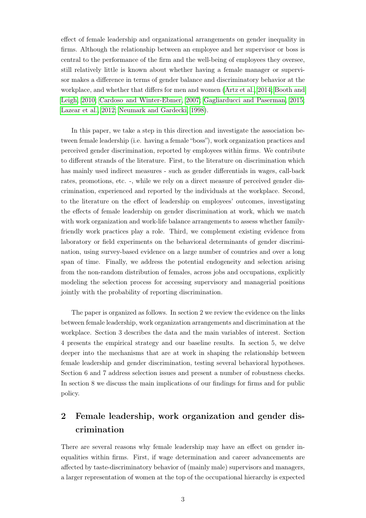effect of female leadership and organizational arrangements on gender inequality in firms. Although the relationship between an employee and her supervisor or boss is central to the performance of the firm and the well-being of employees they oversee, still relatively little is known about whether having a female manager or supervisor makes a difference in terms of gender balance and discriminatory behavior at the workplace, and whether that differs for men and women [\(Artz et al., 2014;](#page-31-1) [Booth and](#page-32-8) [Leigh, 2010;](#page-32-8) [Cardoso and Winter-Ebmer, 2007;](#page-32-9) [Gagliarducci and Paserman, 2015;](#page-33-9) [Lazear et al., 2012;](#page-33-10) [Neumark and Gardecki, 1998\)](#page-33-11).

In this paper, we take a step in this direction and investigate the association between female leadership (i.e. having a female "boss"), work organization practices and perceived gender discrimination, reported by employees within firms. We contribute to different strands of the literature. First, to the literature on discrimination which has mainly used indirect measures - such as gender differentials in wages, call-back rates, promotions, etc. -, while we rely on a direct measure of perceived gender discrimination, experienced and reported by the individuals at the workplace. Second, to the literature on the effect of leadership on employees' outcomes, investigating the effects of female leadership on gender discrimination at work, which we match with work organization and work-life balance arrangements to assess whether familyfriendly work practices play a role. Third, we complement existing evidence from laboratory or field experiments on the behavioral determinants of gender discrimination, using survey-based evidence on a large number of countries and over a long span of time. Finally, we address the potential endogeneity and selection arising from the non-random distribution of females, across jobs and occupations, explicitly modeling the selection process for accessing supervisory and managerial positions jointly with the probability of reporting discrimination.

The paper is organized as follows. In section 2 we review the evidence on the links between female leadership, work organization arrangements and discrimination at the workplace. Section 3 describes the data and the main variables of interest. Section 4 presents the empirical strategy and our baseline results. In section 5, we delve deeper into the mechanisms that are at work in shaping the relationship between female leadership and gender discrimination, testing several behavioral hypotheses. Section 6 and 7 address selection issues and present a number of robustness checks. In section 8 we discuss the main implications of our findings for firms and for public policy.

# 2 Female leadership, work organization and gender discrimination

There are several reasons why female leadership may have an effect on gender inequalities within firms. First, if wage determination and career advancements are affected by taste-discriminatory behavior of (mainly male) supervisors and managers, a larger representation of women at the top of the occupational hierarchy is expected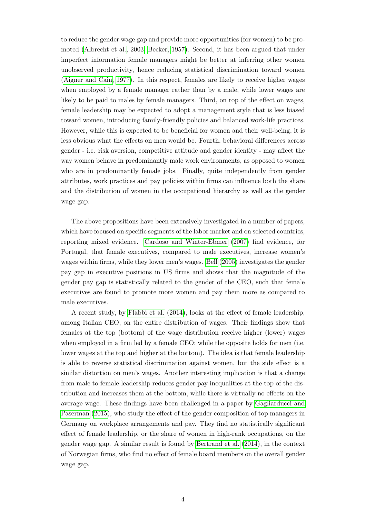to reduce the gender wage gap and provide more opportunities (for women) to be promoted [\(Albrecht et al., 2003;](#page-31-2) [Becker, 1957\)](#page-32-10). Second, it has been argued that under imperfect information female managers might be better at inferring other women unobserved productivity, hence reducing statistical discrimination toward women [\(Aigner and Cain, 1977\)](#page-31-3). In this respect, females are likely to receive higher wages when employed by a female manager rather than by a male, while lower wages are likely to be paid to males by female managers. Third, on top of the effect on wages, female leadership may be expected to adopt a management style that is less biased toward women, introducing family-friendly policies and balanced work-life practices. However, while this is expected to be beneficial for women and their well-being, it is less obvious what the effects on men would be. Fourth, behavioral differences across gender - i.e. risk aversion, competitive attitude and gender identity - may affect the way women behave in predominantly male work environments, as opposed to women who are in predominantly female jobs. Finally, quite independently from gender attributes, work practices and pay policies within firms can influence both the share and the distribution of women in the occupational hierarchy as well as the gender wage gap.

The above propositions have been extensively investigated in a number of papers, which have focused on specific segments of the labor market and on selected countries, reporting mixed evidence. [Cardoso and Winter-Ebmer](#page-32-9) [\(2007\)](#page-32-9) find evidence, for Portugal, that female executives, compared to male executives, increase women's wages within firms, while they lower men's wages. [Bell](#page-32-11) [\(2005\)](#page-32-11) investigates the gender pay gap in executive positions in US firms and shows that the magnitude of the gender pay gap is statistically related to the gender of the CEO, such that female executives are found to promote more women and pay them more as compared to male executives.

A recent study, by [Flabbi et al.](#page-32-7) [\(2014\)](#page-32-7), looks at the effect of female leadership, among Italian CEO, on the entire distribution of wages. Their findings show that females at the top (bottom) of the wage distribution receive higher (lower) wages when employed in a firm led by a female CEO; while the opposite holds for men (i.e. lower wages at the top and higher at the bottom). The idea is that female leadership is able to reverse statistical discrimination against women, but the side effect is a similar distortion on men's wages. Another interesting implication is that a change from male to female leadership reduces gender pay inequalities at the top of the distribution and increases them at the bottom, while there is virtually no effects on the average wage. These findings have been challenged in a paper by [Gagliarducci and](#page-33-9) [Paserman](#page-33-9) [\(2015\)](#page-33-9), who study the effect of the gender composition of top managers in Germany on workplace arrangements and pay. They find no statistically significant effect of female leadership, or the share of women in high-rank occupations, on the gender wage gap. A similar result is found by [Bertrand et al.](#page-32-0) [\(2014\)](#page-32-0), in the context of Norwegian firms, who find no effect of female board members on the overall gender wage gap.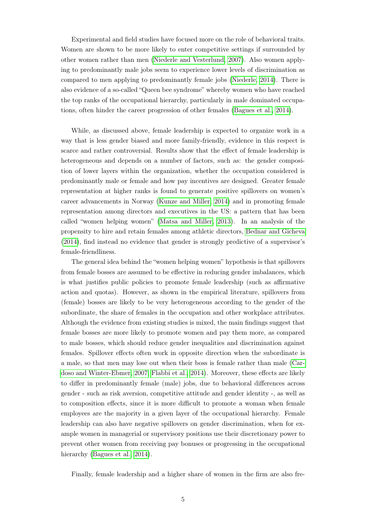Experimental and field studies have focused more on the role of behavioral traits. Women are shown to be more likely to enter competitive settings if surrounded by other women rather than men [\(Niederle and Vesterlund, 2007\)](#page-33-4). Also women applying to predominantly male jobs seem to experience lower levels of discrimination as compared to men applying to predominantly female jobs [\(Niederle, 2014\)](#page-33-2). There is also evidence of a so-called "Queen bee syndrome" whereby women who have reached the top ranks of the occupational hierarchy, particularly in male dominated occupations, often hinder the career progression of other females [\(Bagues et al., 2014\)](#page-32-12).

While, as discussed above, female leadership is expected to organize work in a way that is less gender biased and more family-friendly, evidence in this respect is scarce and rather controversial. Results show that the effect of female leadership is heterogeneous and depends on a number of factors, such as: the gender composition of lower layers within the organization, whether the occupation considered is predominantly male or female and how pay incentives are designed. Greater female representation at higher ranks is found to generate positive spillovers on women's career advancements in Norway [\(Kunze and Miller, 2014\)](#page-33-12) and in promoting female representation among directors and executives in the US: a pattern that has been called "women helping women" [\(Matsa and Miller, 2013\)](#page-33-5). In an analysis of the propensity to hire and retain females among athletic directors, [Bednar and Gicheva](#page-32-13) [\(2014\)](#page-32-13), find instead no evidence that gender is strongly predictive of a supervisor's female-friendliness.

The general idea behind the "women helping women" hypothesis is that spillovers from female bosses are assumed to be effective in reducing gender imbalances, which is what justifies public policies to promote female leadership (such as affirmative action and quotas). However, as shown in the empirical literature, spillovers from (female) bosses are likely to be very heterogeneous according to the gender of the subordinate, the share of females in the occupation and other workplace attributes. Although the evidence from existing studies is mixed, the main findings suggest that female bosses are more likely to promote women and pay them more, as compared to male bosses, which should reduce gender inequalities and discrimination against females. Spillover effects often work in opposite direction when the subordinate is a male, so that men may lose out when their boss is female rather than male [\(Car](#page-32-9)[doso and Winter-Ebmer, 2007;](#page-32-9) [Flabbi et al., 2014\)](#page-32-7). Moreover, these effects are likely to differ in predominantly female (male) jobs, due to behavioral differences across gender - such as risk aversion, competitive attitude and gender identity -, as well as to composition effects, since it is more difficult to promote a woman when female employees are the majority in a given layer of the occupational hierarchy. Female leadership can also have negative spillovers on gender discrimination, when for example women in managerial or supervisory positions use their discretionary power to prevent other women from receiving pay bonuses or progressing in the occupational hierarchy [\(Bagues et al., 2014\)](#page-32-12).

Finally, female leadership and a higher share of women in the firm are also fre-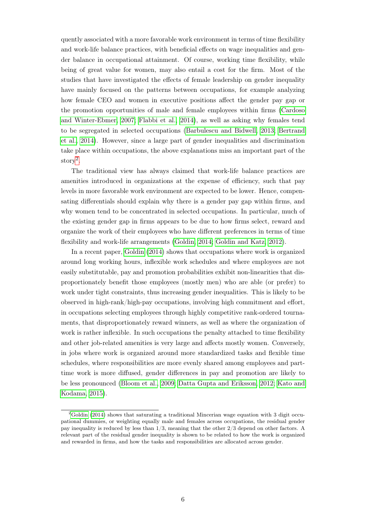quently associated with a more favorable work environment in terms of time flexibility and work-life balance practices, with beneficial effects on wage inequalities and gender balance in occupational attainment. Of course, working time flexibility, while being of great value for women, may also entail a cost for the firm. Most of the studies that have investigated the effects of female leadership on gender inequality have mainly focused on the patterns between occupations, for example analyzing how female CEO and women in executive positions affect the gender pay gap or the promotion opportunities of male and female employees within firms [\(Cardoso](#page-32-9) [and Winter-Ebmer, 2007;](#page-32-9) [Flabbi et al., 2014\)](#page-32-7), as well as asking why females tend to be segregated in selected occupations [\(Barbulescu and Bidwell, 2013;](#page-32-14) [Bertrand](#page-32-0) [et al., 2014\)](#page-32-0). However, since a large part of gender inequalities and discrimination take place within occupations, the above explanations miss an important part of the story[2](#page--1-0) .

The traditional view has always claimed that work-life balance practices are amenities introduced in organizations at the expense of efficiency, such that pay levels in more favorable work environment are expected to be lower. Hence, compensating differentials should explain why there is a gender pay gap within firms, and why women tend to be concentrated in selected occupations. In particular, much of the existing gender gap in firms appears to be due to how firms select, reward and organize the work of their employees who have different preferences in terms of time flexibility and work-life arrangements [\(Goldin, 2014;](#page-33-0) [Goldin and Katz, 2012\)](#page-33-13).

In a recent paper, [Goldin](#page-33-0) [\(2014\)](#page-33-0) shows that occupations where work is organized around long working hours, inflexible work schedules and where employees are not easily substitutable, pay and promotion probabilities exhibit non-linearities that disproportionately benefit those employees (mostly men) who are able (or prefer) to work under tight constraints, thus increasing gender inequalities. This is likely to be observed in high-rank/high-pay occupations, involving high commitment and effort, in occupations selecting employees through highly competitive rank-ordered tournaments, that disproportionately reward winners, as well as where the organization of work is rather inflexible. In such occupations the penalty attached to time flexibility and other job-related amenities is very large and affects mostly women. Conversely, in jobs where work is organized around more standardized tasks and flexible time schedules, where responsibilities are more evenly shared among employees and parttime work is more diffused, gender differences in pay and promotion are likely to be less pronounced [\(Bloom et al., 2009;](#page-32-15) [Datta Gupta and Eriksson, 2012;](#page-32-16) [Kato and](#page-33-14) [Kodama, 2015\)](#page-33-14).

 $2$ [Goldin](#page-33-0) [\(2014\)](#page-33-0) shows that saturating a traditional Mincerian wage equation with 3 digit occupational dummies, or weighting equally male and females across occupations, the residual gender pay inequality is reduced by less than 1/3, meaning that the other 2/3 depend on other factors. A relevant part of the residual gender inequality is shown to be related to how the work is organized and rewarded in firms, and how the tasks and responsibilities are allocated across gender.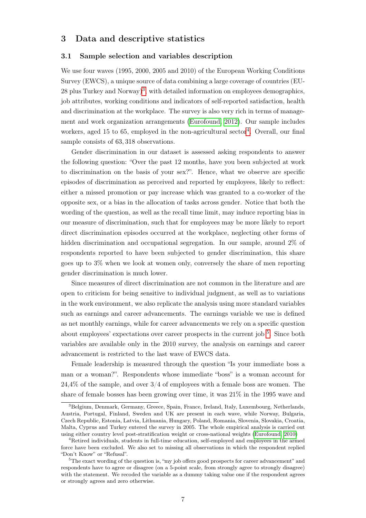#### 3 Data and descriptive statistics

#### 3.1 Sample selection and variables description

We use four waves (1995, 2000, 2005 and 2010) of the European Working Conditions Survey (EWCS), a unique source of data combining a large coverage of countries (EU-28 plus Turkey and Norway)[3](#page--1-0) , with detailed information on employees demographics, job attributes, working conditions and indicators of self-reported satisfaction, health and discrimination at the workplace. The survey is also very rich in terms of management and work organization arrangements [\(Eurofound, 2012\)](#page-32-17). Our sample includes workers, aged 15 to 65, employed in the non-agricultural sector<sup>[4](#page--1-0)</sup>. Overall, our final sample consists of 63, 318 observations.

Gender discrimination in our dataset is assessed asking respondents to answer the following question: "Over the past 12 months, have you been subjected at work to discrimination on the basis of your sex?". Hence, what we observe are specific episodes of discrimination as perceived and reported by employees, likely to reflect: either a missed promotion or pay increase which was granted to a co-worker of the opposite sex, or a bias in the allocation of tasks across gender. Notice that both the wording of the question, as well as the recall time limit, may induce reporting bias in our measure of discrimination, such that for employees may be more likely to report direct discrimination episodes occurred at the workplace, neglecting other forms of hidden discrimination and occupational segregation. In our sample, around 2\% of respondents reported to have been subjected to gender discrimination, this share goes up to 3% when we look at women only, conversely the share of men reporting gender discrimination is much lower.

Since measures of direct discrimination are not common in the literature and are open to criticism for being sensitive to individual judgment, as well as to variations in the work environment, we also replicate the analysis using more standard variables such as earnings and career advancements. The earnings variable we use is defined as net monthly earnings, while for career advancements we rely on a specific question about employees' expectations over career prospects in the current job <sup>[5](#page--1-0)</sup>. Since both variables are available only in the 2010 survey, the analysis on earnings and career advancement is restricted to the last wave of EWCS data.

Female leadership is measured through the question "Is your immediate boss a man or a woman?". Respondents whose immediate "boss" is a woman account for  $24.4\%$  of the sample, and over  $3/4$  of employees with a female boss are women. The share of female bosses has been growing over time, it was 21% in the 1995 wave and

<sup>3</sup>Belgium, Denmark, Germany, Greece, Spain, France, Ireland, Italy, Luxembourg, Netherlands, Austria, Portugal, Finland, Sweden and UK are present in each wave, while Norway, Bulgaria, Czech Republic, Estonia, Latvia, Lithuania, Hungary, Poland, Romania, Slovenia, Slovakia, Croatia, Malta, Cyprus and Turkey entered the survey in 2005. The whole empirical analysis is carried out using either country level post-stratification weight or cross-national weights [\(Eurofound, 2010\)](#page-32-18)

<sup>4</sup>Retired individuals, students in full-time education, self-employed and employees in the armed force have been excluded. We also set to missing all observations in which the respondent replied "Don't Know" or "Refusal".

<sup>&</sup>lt;sup>5</sup>The exact wording of the question is, "my job offers good prospects for career advancement" and respondents have to agree or disagree (on a 5-point scale, from strongly agree to strongly disagree) with the statement. We recoded the variable as a dummy taking value one if the respondent agrees or strongly agrees and zero otherwise.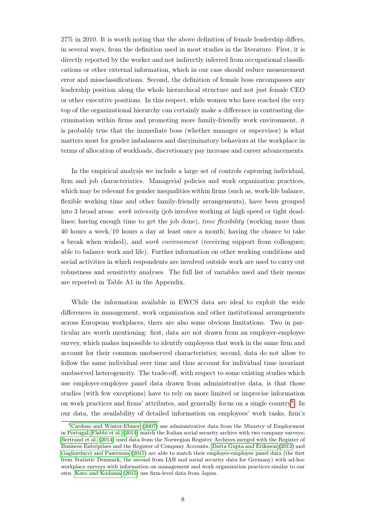27% in 2010. It is worth noting that the above definition of female leadership differs, in several ways, from the definition used in most studies in the literature. First, it is directly reported by the worker and not indirectly inferred from occupational classifications or other external information, which in our case should reduce measurement error and missclassifications. Second, the definition of female boss encompasses any leadership position along the whole hierarchical structure and not just female CEO or other executive positions. In this respect, while women who have reached the very top of the organizational hierarchy can certainly make a difference in contrasting discrimination within firms and promoting more family-friendly work environment, it is probably true that the immediate boss (whether manager or supervisor) is what matters most for gender imbalances and discriminatory behaviors at the workplace in terms of allocation of workloads, discretionary pay increase and career advancements.

In the empirical analysis we include a large set of controls capturing individual, firm and job characteristics. Managerial policies and work organization practices, which may be relevant for gender inequalities within firms (such as, work-life balance, flexible working time and other family-friendly arrangements), have been grouped into 3 broad areas: work intensity (job involves working at high speed or tight deadlines; having enough time to get the job done), *time flexibility* (working more than 40 hours a week/10 hours a day at least once a month; having the chance to take a break when wished), and work environment (receiving support from colleagues; able to balance work and life). Further information on other working conditions and social activities in which respondents are involved outside work are used to carry out robustness and sensitivity analyses. The full list of variables used and their means are reported in Table A1 in the Appendix.

While the information available in EWCS data are ideal to exploit the wide differences in management, work organization and other institutional arrangements across European workplaces, there are also some obvious limitations. Two in particular are worth mentioning: first, data are not drawn from an employer-employee survey, which makes impossible to identify employees that work in the same firm and account for their common unobserved characteristics; second, data do not allow to follow the same individual over time and thus account for individual time invariant unobserved heterogeneity. The trade-off, with respect to some existing studies which use employer-employee panel data drawn from administrative data, is that those studies (with few exceptions) have to rely on more limited or imprecise information on work practices and firms' attributes, and generally focus on a single country<sup>[6](#page--1-0)</sup>. In our data, the availability of detailed information on employees' work tasks, firm's

 ${}^{6}$ [Cardoso and Winter-Ebmer](#page-32-9) [\(2007\)](#page-32-9) use administrative data from the Ministry of Employment in Portugal; [Flabbi et al.](#page-32-7) [\(2014\)](#page-32-7) match the Italian social security archive with two company surveys; [Bertrand et al.](#page-32-0) [\(2014\)](#page-32-0) used data from the Norwegian Registry Archives merged with the Register of Business Enterprises and the Register of Company Accounts. [Datta Gupta and Eriksson](#page-32-16) [\(2012\)](#page-32-16) and [Gagliarducci and Paserman](#page-33-9) [\(2015\)](#page-33-9) are able to match their employer-employee panel data (the first from Statistic Denmark, the second from IAB and social security data for Germany) with ad-hoc workplace surveys with information on management and work organization practices similar to our own. [Kato and Kodama](#page-33-14) [\(2015\)](#page-33-14) use firm-level data from Japan.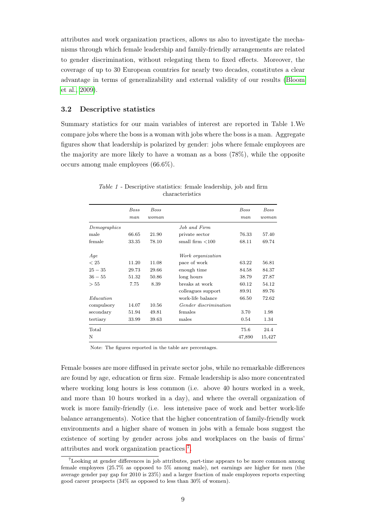attributes and work organization practices, allows us also to investigate the mechanisms through which female leadership and family-friendly arrangements are related to gender discrimination, without relegating them to fixed effects. Moreover, the coverage of up to 30 European countries for nearly two decades, constitutes a clear advantage in terms of generalizability and external validity of our results [\(Bloom](#page-32-15) [et al., 2009\)](#page-32-15).

#### 3.2 Descriptive statistics

Summary statistics for our main variables of interest are reported in Table 1.We compare jobs where the boss is a woman with jobs where the boss is a man. Aggregate figures show that leadership is polarized by gender: jobs where female employees are the majority are more likely to have a woman as a boss (78%), while the opposite occurs among male employees (66.6%).

|              | <b>Boss</b><br>man | <b>Boss</b><br>woman |                       | <b>Boss</b><br>man | Boss<br>woman |
|--------------|--------------------|----------------------|-----------------------|--------------------|---------------|
| Demographics |                    |                      | Job and Firm          |                    |               |
| male         | 66.65              | 21.90                | private sector        | 76.33              | 57.40         |
| female       | 33.35              | 78.10                | small firm $<$ 100    | 68.11              | 69.74         |
| Age          |                    |                      | Work organization     |                    |               |
| < 25         | 11.20              | 11.08                | pace of work          | 63.22              | 56.81         |
| $25 - 35$    | 29.73              | 29.66                | enough time           | 84.58              | 84.37         |
| $36 - 55$    | 51.32              | 50.86                | long hours            | 38.79              | 27.87         |
| > 55         | 7.75               | 8.39                 | breaks at work        | 60.12              | 54.12         |
|              |                    |                      | colleagues support    | 89.91              | 89.76         |
| Education    |                    |                      | work-life balance     | 66.50              | 72.62         |
| compulsory   | 14.07              | 10.56                | Gender discrimination |                    |               |
| secondary    | 51.94              | 49.81                | females               | 3.70               | 1.98          |
| tertiary     | 33.99              | 39.63                | males                 | 0.54               | 1.34          |
| Total        |                    |                      |                       | 75.6               | 24.4          |
| N            |                    |                      |                       | 47,890             | 15,427        |

Table 1 - Descriptive statistics: female leadership, job and firm characteristics

Note: The figures reported in the table are percentages.

Female bosses are more diffused in private sector jobs, while no remarkable differences are found by age, education or firm size. Female leadership is also more concentrated where working long hours is less common (i.e. above 40 hours worked in a week, and more than 10 hours worked in a day), and where the overall organization of work is more family-friendly (i.e. less intensive pace of work and better work-life balance arrangements). Notice that the higher concentration of family-friendly work environments and a higher share of women in jobs with a female boss suggest the existence of sorting by gender across jobs and workplaces on the basis of firms' attributes and work organization practices [7](#page--1-0) .

<sup>7</sup>Looking at gender differences in job attributes, part-time appears to be more common among female employees (25.7% as opposed to 5% among male), net earnings are higher for men (the average gender pay gap for 2010 is 23%) and a larger fraction of male employees reports expecting good career prospects (34% as opposed to less than 30% of women).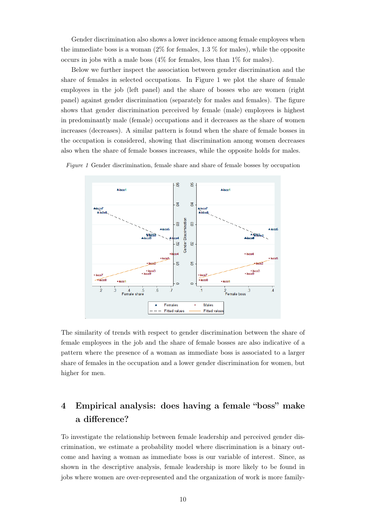Gender discrimination also shows a lower incidence among female employees when the immediate boss is a woman  $(2\%$  for females, 1.3 % for males), while the opposite occurs in jobs with a male boss (4% for females, less than 1% for males).

Below we further inspect the association between gender discrimination and the share of females in selected occupations. In Figure 1 we plot the share of female employees in the job (left panel) and the share of bosses who are women (right panel) against gender discrimination (separately for males and females). The figure shows that gender discrimination perceived by female (male) employees is highest in predominantly male (female) occupations and it decreases as the share of women increases (decreases). A similar pattern is found when the share of female bosses in the occupation is considered, showing that discrimination among women decreases also when the share of female bosses increases, while the opposite holds for males.

Figure 1 Gender discrimination, female share and share of female bosses by occupation



The similarity of trends with respect to gender discrimination between the share of female employees in the job and the share of female bosses are also indicative of a pattern where the presence of a woman as immediate boss is associated to a larger share of females in the occupation and a lower gender discrimination for women, but higher for men.

# 4 Empirical analysis: does having a female "boss" make a difference?

To investigate the relationship between female leadership and perceived gender discrimination, we estimate a probability model where discrimination is a binary outcome and having a woman as immediate boss is our variable of interest. Since, as shown in the descriptive analysis, female leadership is more likely to be found in jobs where women are over-represented and the organization of work is more family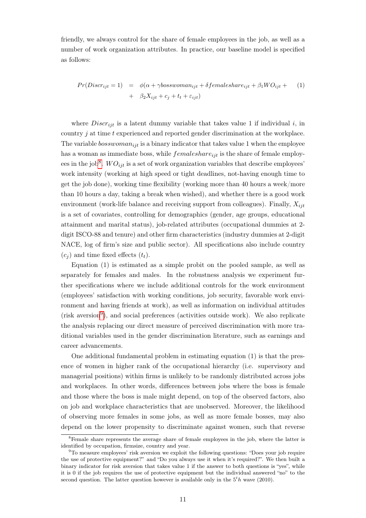friendly, we always control for the share of female employees in the job, as well as a number of work organization attributes. In practice, our baseline model is specified as follows:

$$
Pr(Discr_{ijt} = 1) = \phi(\alpha + \gamma bosswoman_{ijt} + \delta femaleshare_{ijt} + \beta_1 WO_{ijt} +
$$
  
+  $\beta_2 X_{ijt} + c_j + t_t + \varepsilon_{ijt}$  (1)

where  $Discri_{it}$  is a latent dummy variable that takes value 1 if individual i, in country  $j$  at time  $t$  experienced and reported gender discrimination at the workplace. The variable  $bosswoman_{ijt}$  is a binary indicator that takes value 1 when the employee has a woman as immediate boss, while  $f$ *emaleshare*<sub>ijt</sub> is the share of female employ-ees in the job<sup>[8](#page--1-0)</sup>.  $WO_{ijt}$  is a set of work organization variables that describe employees' work intensity (working at high speed or tight deadlines, not-having enough time to get the job done), working time flexibility (working more than 40 hours a week/more than 10 hours a day, taking a break when wished), and whether there is a good work environment (work-life balance and receiving support from colleagues). Finally,  $X_{ijt}$ is a set of covariates, controlling for demographics (gender, age groups, educational attainment and marital status), job-related attributes (occupational dummies at 2 digit ISCO-88 and tenure) and other firm characteristics (industry dummies at 2-digit NACE, log of firm's size and public sector). All specifications also include country  $(c_i)$  and time fixed effects  $(t_t)$ .

Equation (1) is estimated as a simple probit on the pooled sample, as well as separately for females and males. In the robustness analysis we experiment further specifications where we include additional controls for the work environment (employees' satisfaction with working conditions, job security, favorable work environment and having friends at work), as well as information on individual attitudes (risk aversion[9](#page--1-0) ), and social preferences (activities outside work). We also replicate the analysis replacing our direct measure of perceived discrimination with more traditional variables used in the gender discrimination literature, such as earnings and career advancements.

One additional fundamental problem in estimating equation (1) is that the presence of women in higher rank of the occupational hierarchy (i.e. supervisory and managerial positions) within firms is unlikely to be randomly distributed across jobs and workplaces. In other words, differences between jobs where the boss is female and those where the boss is male might depend, on top of the observed factors, also on job and workplace characteristics that are unobserved. Moreover, the likelihood of observing more females in some jobs, as well as more female bosses, may also depend on the lower propensity to discriminate against women, such that reverse

<sup>&</sup>lt;sup>8</sup>Female share represents the average share of female employees in the job, where the latter is identified by occupation, firmsize, country and year.

<sup>9</sup>To measure employees' risk aversion we exploit the following questions: "Does your job require the use of protective equipment?" and "Do you always use it when it's required?". We then built a binary indicator for risk aversion that takes value 1 if the answer to both questions is "yes", while it is 0 if the job requires the use of protective equipment but the individual answered "no" to the second question. The latter question however is available only in the  $5<sup>t</sup>h$  wave (2010).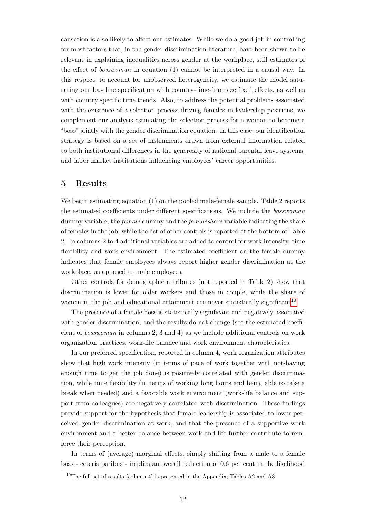causation is also likely to affect our estimates. While we do a good job in controlling for most factors that, in the gender discrimination literature, have been shown to be relevant in explaining inequalities across gender at the workplace, still estimates of the effect of bosswoman in equation (1) cannot be interpreted in a causal way. In this respect, to account for unobserved heterogeneity, we estimate the model saturating our baseline specification with country-time-firm size fixed effects, as well as with country specific time trends. Also, to address the potential problems associated with the existence of a selection process driving females in leadership positions, we complement our analysis estimating the selection process for a woman to become a "boss" jointly with the gender discrimination equation. In this case, our identification strategy is based on a set of instruments drawn from external information related to both institutional differences in the generosity of national parental leave systems, and labor market institutions influencing employees' career opportunities.

#### 5 Results

We begin estimating equation (1) on the pooled male-female sample. Table 2 reports the estimated coefficients under different specifications. We include the bosswoman dummy variable, the *female* dummy and the *femaleshare* variable indicating the share of females in the job, while the list of other controls is reported at the bottom of Table 2. In columns 2 to 4 additional variables are added to control for work intensity, time flexibility and work environment. The estimated coefficient on the female dummy indicates that female employees always report higher gender discrimination at the workplace, as opposed to male employees.

Other controls for demographic attributes (not reported in Table 2) show that discrimination is lower for older workers and those in couple, while the share of women in the job and educational attainment are never statistically significant<sup>[10](#page--1-0)</sup>.

The presence of a female boss is statistically significant and negatively associated with gender discrimination, and the results do not change (see the estimated coefficient of bosswoman in columns 2, 3 and 4) as we include additional controls on work organization practices, work-life balance and work environment characteristics.

In our preferred specification, reported in column 4, work organization attributes show that high work intensity (in terms of pace of work together with not-having enough time to get the job done) is positively correlated with gender discrimination, while time flexibility (in terms of working long hours and being able to take a break when needed) and a favorable work environment (work-life balance and support from colleagues) are negatively correlated with discrimination. These findings provide support for the hypothesis that female leadership is associated to lower perceived gender discrimination at work, and that the presence of a supportive work environment and a better balance between work and life further contribute to reinforce their perception.

In terms of (average) marginal effects, simply shifting from a male to a female boss - ceteris paribus - implies an overall reduction of 0.6 per cent in the likelihood

<sup>&</sup>lt;sup>10</sup>The full set of results (column 4) is presented in the Appendix; Tables A2 and A3.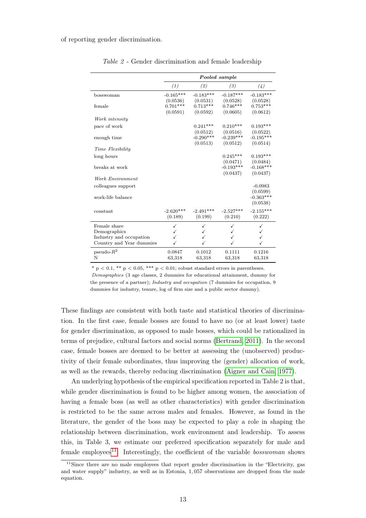of reporting gender discrimination.

|                          | Pooled sample |             |             |             |  |
|--------------------------|---------------|-------------|-------------|-------------|--|
|                          | (1)           | (2)         | (3)         | (4)         |  |
| bosswoman                | $-0.165***$   | $-0.183***$ | $-0.187***$ | $-0.183***$ |  |
|                          | (0.0536)      | (0.0531)    | (0.0528)    | (0.0528)    |  |
| female                   | $0.701***$    | $0.713***$  | $0.746***$  | $0.753***$  |  |
|                          | (0.0591)      | (0.0592)    | (0.0605)    | (0.0612)    |  |
| Work intensity           |               |             |             |             |  |
| pace of work             |               | $0.241***$  | $0.210***$  | $0.193***$  |  |
|                          |               | (0.0512)    | (0.0516)    | (0.0522)    |  |
| enough time              |               | $-0.290***$ | $-0.239***$ | $-0.195***$ |  |
|                          |               | (0.0513)    | (0.0512)    | (0.0514)    |  |
| Time Flexibility         |               |             |             |             |  |
| long hours               |               |             | $0.245***$  | $0.193***$  |  |
|                          |               |             | (0.0471)    | (0.0484)    |  |
| breaks at work           |               |             | $-0.193***$ | $-0.168***$ |  |
|                          |               |             | (0.0437)    | (0.0437)    |  |
| Work Environment         |               |             |             |             |  |
| colleagues support       |               |             |             | $-0.0983$   |  |
|                          |               |             |             | (0.0599)    |  |
| work-life balance        |               |             |             | $-0.363***$ |  |
|                          |               |             |             | (0.0538)    |  |
| constant                 | $-2.620***$   | $-2.491***$ | $-2.527***$ | $-2.155***$ |  |
|                          | (0.189)       | (0.199)     | (0.210)     | (0.222)     |  |
|                          |               |             |             |             |  |
| Female share             | ✓             | ✓           | ✓           |             |  |
| Demographics             | ✓             | ✓           | ✓           |             |  |
| Industry and occupation  |               |             |             |             |  |
| Country and Year dummies |               |             |             |             |  |
| pseudo- $R^2$            | 0.0847        | 0.1012      | 0.1111      | 0.1216      |  |
| N                        | 63,318        | 63,318      | 63,318      | 63,318      |  |

Table 2 - Gender discrimination and female leadership

\* p  $\leq 0.1$ , \*\* p  $\leq 0.05$ , \*\*\* p  $\leq 0.01$ ; robust standard errors in parentheses.

Demographics (3 age classes, 2 dummies for educational attainment, dummy for the presence of a partner); Industry and occupation (7 dummies for occupation, 9 dummies for industry, tenure, log of firm size and a public sector dummy).

These findings are consistent with both taste and statistical theories of discrimination. In the first case, female bosses are found to have no (or at least lower) taste for gender discrimination, as opposed to male bosses, which could be rationalized in terms of prejudice, cultural factors and social norms [\(Bertrand, 2011\)](#page-32-1). In the second case, female bosses are deemed to be better at assessing the (unobserved) productivity of their female subordinates, thus improving the (gender) allocation of work, as well as the rewards, thereby reducing discrimination [\(Aigner and Cain, 1977\)](#page-31-3).

An underlying hypothesis of the empirical specification reported in Table 2 is that, while gender discrimination is found to be higher among women, the association of having a female boss (as well as other characteristics) with gender discrimination is restricted to be the same across males and females. However, as found in the literature, the gender of the boss may be expected to play a role in shaping the relationship between discrimination, work environment and leadership. To assess this, in Table 3, we estimate our preferred specification separately for male and female employees<sup>[11](#page--1-0)</sup>. Interestingly, the coefficient of the variable *bosswoman* shows

<sup>&</sup>lt;sup>11</sup>Since there are no male employees that report gender discrimination in the "Electricity, gas and water supply" industry, as well as in Estonia, 1, 057 observations are dropped from the male equation.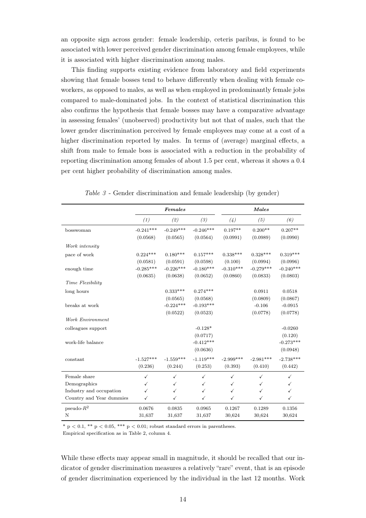an opposite sign across gender: female leadership, ceteris paribus, is found to be associated with lower perceived gender discrimination among female employees, while it is associated with higher discrimination among males.

This finding supports existing evidence from laboratory and field experiments showing that female bosses tend to behave differently when dealing with female coworkers, as opposed to males, as well as when employed in predominantly female jobs compared to male-dominated jobs. In the context of statistical discrimination this also confirms the hypothesis that female bosses may have a comparative advantage in assessing females' (unobserved) productivity but not that of males, such that the lower gender discrimination perceived by female employees may come at a cost of a higher discrimination reported by males. In terms of (average) marginal effects, a shift from male to female boss is associated with a reduction in the probability of reporting discrimination among females of about 1.5 per cent, whereas it shows a 0.4 per cent higher probability of discrimination among males.

|                          | Females     |              |              | <b>Males</b> |              |              |  |
|--------------------------|-------------|--------------|--------------|--------------|--------------|--------------|--|
|                          | (1)         | (2)          | (3)          | (4)          | (5)          | (6)          |  |
| bosswoman                | $-0.241***$ | $-0.249***$  | $-0.246***$  | $0.197**$    | $0.200**$    | $0.207**$    |  |
|                          | (0.0568)    | (0.0565)     | (0.0564)     | (0.0991)     | (0.0989)     | (0.0990)     |  |
| Work intensity           |             |              |              |              |              |              |  |
| pace of work             | $0.224***$  | $0.180***$   | $0.157***$   | $0.338***$   | $0.328***$   | $0.319***$   |  |
|                          | (0.0581)    | (0.0591)     | (0.0598)     | (0.100)      | (0.0994)     | (0.0996)     |  |
| enough time              | $-0.285***$ | $-0.226***$  | $-0.180***$  | $-0.310***$  | $-0.279***$  | $-0.240***$  |  |
|                          | (0.0635)    | (0.0638)     | (0.0652)     | (0.0860)     | (0.0833)     | (0.0803)     |  |
| Time Flexibility         |             |              |              |              |              |              |  |
| long hours               |             | $0.333***$   | $0.274***$   |              | 0.0911       | 0.0518       |  |
|                          |             | (0.0565)     | (0.0568)     |              | (0.0809)     | (0.0867)     |  |
| breaks at work           |             | $-0.224***$  | $-0.193***$  |              | $-0.106$     | $-0.0915$    |  |
|                          |             | (0.0522)     | (0.0523)     |              | (0.0778)     | (0.0778)     |  |
| Work Environment         |             |              |              |              |              |              |  |
| colleagues support       |             |              | $-0.128*$    |              |              | $-0.0260$    |  |
|                          |             |              | (0.0717)     |              |              | (0.120)      |  |
| work-life balance        |             |              | $-0.412***$  |              |              | $-0.273***$  |  |
|                          |             |              | (0.0636)     |              |              | (0.0948)     |  |
| constant                 | $-1.527***$ | $-1.559***$  | $-1.119***$  | $-2.999***$  | $-2.981***$  | $-2.738***$  |  |
|                          | (0.236)     | (0.244)      | (0.253)      | (0.393)      | (0.410)      | (0.442)      |  |
| Female share             | ✓           | $\checkmark$ | $\checkmark$ | $\checkmark$ | $\checkmark$ | $\checkmark$ |  |
| Demographics             | ✓           | ✓            | ✓            | ✓            | ✓            | $\checkmark$ |  |
| Industry and occupation  | ✓           | ✓            | ✓            | $\checkmark$ | ✓            | $\checkmark$ |  |
| Country and Year dummies | ✓           | $\checkmark$ | ✓            | $\checkmark$ | $\checkmark$ | $\checkmark$ |  |
|                          |             |              |              |              |              |              |  |
| pseudo- $R^2$            | 0.0676      | 0.0835       | 0.0965       | 0.1267       | 0.1289       | 0.1356       |  |
| N                        | 31,637      | 31,637       | 31,637       | 30,624       | 30,624       | 30,624       |  |

Table 3 - Gender discrimination and female leadership (by gender)

\* p  $< 0.1$ , \*\* p  $< 0.05$ , \*\*\* p  $< 0.01$ ; robust standard errors in parentheses.

Empirical specification as in Table 2, column 4.

While these effects may appear small in magnitude, it should be recalled that our indicator of gender discrimination measures a relatively "rare" event, that is an episode of gender discrimination experienced by the individual in the last 12 months. Work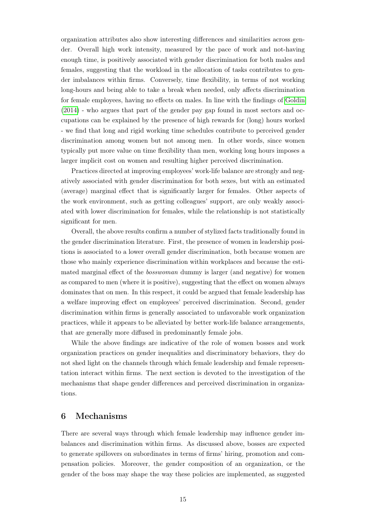organization attributes also show interesting differences and similarities across gender. Overall high work intensity, measured by the pace of work and not-having enough time, is positively associated with gender discrimination for both males and females, suggesting that the workload in the allocation of tasks contributes to gender imbalances within firms. Conversely, time flexibility, in terms of not working long-hours and being able to take a break when needed, only affects discrimination for female employees, having no effects on males. In line with the findings of [Goldin](#page-33-0) [\(2014\)](#page-33-0) - who argues that part of the gender pay gap found in most sectors and occupations can be explained by the presence of high rewards for (long) hours worked - we find that long and rigid working time schedules contribute to perceived gender discrimination among women but not among men. In other words, since women typically put more value on time flexibility than men, working long hours imposes a larger implicit cost on women and resulting higher perceived discrimination.

Practices directed at improving employees' work-life balance are strongly and negatively associated with gender discrimination for both sexes, but with an estimated (average) marginal effect that is significantly larger for females. Other aspects of the work environment, such as getting colleagues' support, are only weakly associated with lower discrimination for females, while the relationship is not statistically significant for men.

Overall, the above results confirm a number of stylized facts traditionally found in the gender discrimination literature. First, the presence of women in leadership positions is associated to a lower overall gender discrimination, both because women are those who mainly experience discrimination within workplaces and because the estimated marginal effect of the bosswoman dummy is larger (and negative) for women as compared to men (where it is positive), suggesting that the effect on women always dominates that on men. In this respect, it could be argued that female leadership has a welfare improving effect on employees' perceived discrimination. Second, gender discrimination within firms is generally associated to unfavorable work organization practices, while it appears to be alleviated by better work-life balance arrangements, that are generally more diffused in predominantly female jobs.

While the above findings are indicative of the role of women bosses and work organization practices on gender inequalities and discriminatory behaviors, they do not shed light on the channels through which female leadership and female representation interact within firms. The next section is devoted to the investigation of the mechanisms that shape gender differences and perceived discrimination in organizations.

#### 6 Mechanisms

There are several ways through which female leadership may influence gender imbalances and discrimination within firms. As discussed above, bosses are expected to generate spillovers on subordinates in terms of firms' hiring, promotion and compensation policies. Moreover, the gender composition of an organization, or the gender of the boss may shape the way these policies are implemented, as suggested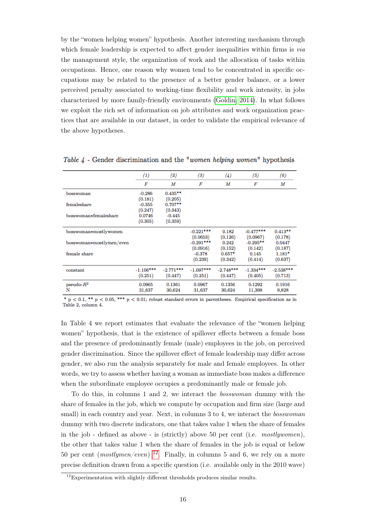by the "women helping women" hypothesis. Another interesting mechanism through which female leadership is expected to affect gender inequalities within firms is *via* the management style, the organization of work and the allocation of tasks within occupations. Hence, one reason why women tend to be concentrated in specific occupations may be related to the presence of a better gender balance, or a lower perceived penalty associated to working-time flexibility and work intensity, in jobs characterized by more family-friendly environments [\(Goldin, 2014\)](#page-33-0). In what follows we exploit the rich set of information on job attributes and work organization practices that are available in our dataset, in order to validate the empirical relevance of the above hypotheses.

|                          | $^{(1)}$    | (2)         | (3)         | (4)         | (5)         | (6)         |
|--------------------------|-------------|-------------|-------------|-------------|-------------|-------------|
|                          | F           | M           | F           | M           | F           | М           |
| bosswoman                | $-0.286$    | $0.435***$  |             |             |             |             |
|                          | (0.181)     | (0.205)     |             |             |             |             |
| femaleshare              | $-0.355$    | $0.707**$   |             |             |             |             |
|                          | (0.247)     | (0.343)     |             |             |             |             |
| bosswoman*femaleshare    | 0.0746      | $-0.445$    |             |             |             |             |
|                          | (0.305)     | (0.359)     |             |             |             |             |
| bosswoman*mostlywomen    |             |             | $-0.221***$ | 0.182       | $-0.477***$ | $0.413***$  |
|                          |             |             | (0.0653)    | (0.126)     | (0.0967)    | (0.178)     |
| bosswoman*mostlymen/even |             |             | $-0.291***$ | 0.242       | $-0.295***$ | 0.0447      |
|                          |             |             | (0.0916)    | (0.152)     | (0.142)     | (0.187)     |
| female share             |             |             | $-0.378$    | $0.657*$    | 0.145       | $1.181*$    |
|                          |             |             | (0.239)     | (0.342)     | (0.414)     | (0.637)     |
| constant                 | $-1.106***$ | $-2.771***$ | $-1.097***$ | $-2.748***$ | $-1.334***$ | $-2.538***$ |
|                          | (0.251)     | (0.447)     | (0.251)     | (0.447)     | (0.405)     | (0.713)     |
| pseudo- $R^2$            | 0.0965      | 0.1361      | 0.0967      | 0.1356      | 0.1292      | 0.1916      |
| N                        | 31,637      | 30,624      | 31,637      | 30,624      | 11,398      | 9,828       |
|                          |             |             |             |             |             |             |

Table  $\lambda$  - Gender discrimination and the "women helping women" hypothesis

\*  $p < 0.1$ , \*\*  $p < 0.05$ , \*\*\*  $p < 0.01$ ; robust standard errors in parentheses. Empirical specification as in Table 2, column 4.

In Table 4 we report estimates that evaluate the relevance of the "women helping women" hypothesis, that is the existence of spillover effects between a female boss and the presence of predominantly female (male) employees in the job, on perceived gender discrimination. Since the spillover effect of female leadership may differ across gender, we also run the analysis separately for male and female employees. In other words, we try to assess whether having a woman as immediate boss makes a difference when the subordinate employee occupies a predominantly male or female job.

To do this, in columns 1 and 2, we interact the bosswoman dummy with the share of females in the job, which we compute by occupation and firm size (large and small) in each country and year. Next, in columns 3 to 4, we interact the *bosswoman* dummy with two discrete indicators, one that takes value 1 when the share of females in the job - defined as above - is (strictly) above 50 per cent (i.e. mostlywomen), the other that takes value 1 when the share of females in the job is equal or below 50 per cent  $(mostlymen/even)^{12}$  $(mostlymen/even)^{12}$  $(mostlymen/even)^{12}$ . Finally, in columns 5 and 6, we rely on a more precise definition drawn from a specific question (i.e. available only in the 2010 wave)

 $12$ Experimentation with slightly different thresholds produces similar results.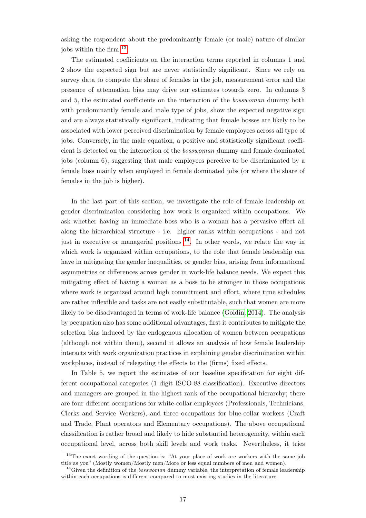asking the respondent about the predominantly female (or male) nature of similar jobs within the firm <sup>[13](#page--1-0)</sup>.

The estimated coefficients on the interaction terms reported in columns 1 and 2 show the expected sign but are never statistically significant. Since we rely on survey data to compute the share of females in the job, measurement error and the presence of attenuation bias may drive our estimates towards zero. In columns 3 and 5, the estimated coefficients on the interaction of the bosswoman dummy both with predominantly female and male type of jobs, show the expected negative sign and are always statistically significant, indicating that female bosses are likely to be associated with lower perceived discrimination by female employees across all type of jobs. Conversely, in the male equation, a positive and statistically significant coefficient is detected on the interaction of the bosswoman dummy and female dominated jobs (column 6), suggesting that male employees perceive to be discriminated by a female boss mainly when employed in female dominated jobs (or where the share of females in the job is higher).

In the last part of this section, we investigate the role of female leadership on gender discrimination considering how work is organized within occupations. We ask whether having an immediate boss who is a woman has a pervasive effect all along the hierarchical structure - i.e. higher ranks within occupations - and not just in executive or managerial positions [14](#page--1-0). In other words, we relate the way in which work is organized within occupations, to the role that female leadership can have in mitigating the gender inequalities, or gender bias, arising from informational asymmetries or differences across gender in work-life balance needs. We expect this mitigating effect of having a woman as a boss to be stronger in those occupations where work is organized around high commitment and effort, where time schedules are rather inflexible and tasks are not easily substitutable, such that women are more likely to be disadvantaged in terms of work-life balance [\(Goldin, 2014\)](#page-33-0). The analysis by occupation also has some additional advantages, first it contributes to mitigate the selection bias induced by the endogenous allocation of women between occupations (although not within them), second it allows an analysis of how female leadership interacts with work organization practices in explaining gender discrimination within workplaces, instead of relegating the effects to the (firms) fixed effects.

In Table 5, we report the estimates of our baseline specification for eight different occupational categories (1 digit ISCO-88 classification). Executive directors and managers are grouped in the highest rank of the occupational hierarchy; there are four different occupations for white-collar employees (Professionals, Technicians, Clerks and Service Workers), and three occupations for blue-collar workers (Craft and Trade, Plant operators and Elementary occupations). The above occupational classification is rather broad and likely to hide substantial heterogeneity, within each occupational level, across both skill levels and work tasks. Nevertheless, it tries

<sup>&</sup>lt;sup>13</sup>The exact wording of the question is: "At your place of work are workers with the same job title as you" (Mostly women/Mostly men/More or less equal numbers of men and women).

<sup>&</sup>lt;sup>14</sup>Given the definition of the *bosswoman* dummy variable, the interpretation of female leadership within each occupations is different compared to most existing studies in the literature.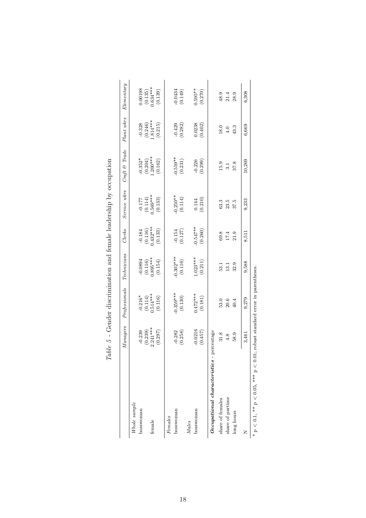|                                             | Managers                            | Professionals                            | $\label{eq:rechni} Technicians$  | Clerks                                                                  | Service wkrs                               | $Cnft \& Trade$                                    | Plant wkrs                      | $E$ lementary                                                               |
|---------------------------------------------|-------------------------------------|------------------------------------------|----------------------------------|-------------------------------------------------------------------------|--------------------------------------------|----------------------------------------------------|---------------------------------|-----------------------------------------------------------------------------|
| Whole sample                                |                                     |                                          |                                  |                                                                         |                                            |                                                    |                                 |                                                                             |
| bosswoman                                   |                                     |                                          |                                  |                                                                         |                                            |                                                    |                                 |                                                                             |
|                                             |                                     |                                          |                                  |                                                                         |                                            |                                                    |                                 |                                                                             |
| female                                      | $-0.239$<br>$(0.239)$<br>$2.241***$ | $-0.216*$<br>(0.114)<br>0.514***         | $-0.0894$<br>(0.116)<br>0.895*** |                                                                         |                                            |                                                    | $-0.328$<br>(0.246)<br>1.814*** |                                                                             |
|                                             | (0.297)                             | (0.116)                                  | (0.154)                          | $\begin{array}{c} -0.184 \\ (0.116) \\ 0.432*** \\ (0.133) \end{array}$ | $-0.177$<br>(0.114)<br>0.569***<br>(0.133) | $-0.352*$<br>$(0.204)$<br>$(0.200***$<br>$(0.162)$ | (0.215)                         | $\begin{array}{c} 0.00198 \\ (0.135) \\ 0.634^{***} \\ (0.139) \end{array}$ |
| Females                                     |                                     |                                          |                                  |                                                                         |                                            |                                                    |                                 |                                                                             |
| bosswoman                                   | $-0.282$                            | $0.359***$                               | $0.302***$                       |                                                                         |                                            | $-0.559***$                                        |                                 |                                                                             |
|                                             | (0.258)                             | (0.130)                                  | (0.116)                          | $-0.154$<br>$(0.127)$                                                   | $-0.250**$<br>(0.114)                      | (0.231)                                            | $-0.429$<br>$(0.282)$           | $-0.0434$<br>$(0.149)$                                                      |
| <b>Males</b>                                |                                     |                                          |                                  |                                                                         |                                            |                                                    |                                 |                                                                             |
| bosswoman                                   | $-0.0216$                           | $0.472***$                               | $-023***$                        |                                                                         |                                            |                                                    |                                 | $0.595**$                                                                   |
|                                             | (0.457)                             | (0.181)                                  | (0.211)                          | $-0.547**$<br>(0.260)                                                   | $(0.144)$<br>$(0.210)$                     | $-0.226$<br>$(0.299)$                              | $(0.0238)$<br>$(0.402)$         | (0.270)                                                                     |
| Occupational characteristics -              | percentage                          |                                          |                                  |                                                                         |                                            |                                                    |                                 |                                                                             |
| share of females                            | 31.8                                | 53.0                                     | 53.1                             | 69.8                                                                    | 63.3                                       | 15.9                                               | 18.0                            | 48.9                                                                        |
| share of partime                            | 4.8                                 | 20.6                                     | 13.1                             | 17.4                                                                    | 23.5                                       | $\frac{1}{3}$                                      | 4.0                             | 21.4                                                                        |
| long hours                                  | 58.9                                | 40.4                                     | 32.9                             | 21.9                                                                    | 37.5                                       | 37.8                                               | 43.3                            | 28.9                                                                        |
| z                                           | 3,461                               | 9,279                                    | 9,588                            | 8,511                                                                   | 9,233                                      | 10,269                                             | 6,669                           | 6,308                                                                       |
| * $p < 0.1$ , ** $p < 0.05$ , *** $p < 0.0$ |                                     | 1; robust standard error in parentheses. |                                  |                                                                         |                                            |                                                    |                                 |                                                                             |

| Catch - Catch - Catch - Catch - Catch - Catch - Catch - Catch - Catch - Catch - Catch - Catch - Catch - Catch -<br>i<br>ł      |  |
|--------------------------------------------------------------------------------------------------------------------------------|--|
| l<br>i<br>l                                                                                                                    |  |
| l<br>j<br>ċ<br>S Color S                                                                                                       |  |
| Contenter of the content of the content of contents of the content of the content of the content of the content<br>Í<br>l<br>i |  |
| l<br>I<br>i<br>l<br>í<br>l<br>)<br>Carlos                                                                                      |  |
| $\ddot{\phantom{a}}$<br>l<br>)<br>Santa S<br>Ì                                                                                 |  |
| ı<br>I<br>ś<br>l<br>I                                                                                                          |  |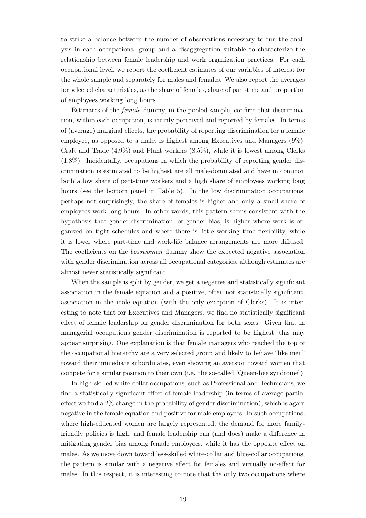to strike a balance between the number of observations necessary to run the analysis in each occupational group and a disaggregation suitable to characterize the relationship between female leadership and work organization practices. For each occupational level, we report the coefficient estimates of our variables of interest for the whole sample and separately for males and females. We also report the averages for selected characteristics, as the share of females, share of part-time and proportion of employees working long hours.

Estimates of the female dummy, in the pooled sample, confirm that discrimination, within each occupation, is mainly perceived and reported by females. In terms of (average) marginal effects, the probability of reporting discrimination for a female employee, as opposed to a male, is highest among Executives and Managers (9%), Craft and Trade (4.9%) and Plant workers (8.5%), while it is lowest among Clerks (1.8%). Incidentally, occupations in which the probability of reporting gender discrimination is estimated to be highest are all male-dominated and have in common both a low share of part-time workers and a high share of employees working long hours (see the bottom panel in Table 5). In the low discrimination occupations, perhaps not surprisingly, the share of females is higher and only a small share of employees work long hours. In other words, this pattern seems consistent with the hypothesis that gender discrimination, or gender bias, is higher where work is organized on tight schedules and where there is little working time flexibility, while it is lower where part-time and work-life balance arrangements are more diffused. The coefficients on the bosswoman dummy show the expected negative association with gender discrimination across all occupational categories, although estimates are almost never statistically significant.

When the sample is split by gender, we get a negative and statistically significant association in the female equation and a positive, often not statistically significant, association in the male equation (with the only exception of Clerks). It is interesting to note that for Executives and Managers, we find no statistically significant effect of female leadership on gender discrimination for both sexes. Given that in managerial occupations gender discrimination is reported to be highest, this may appear surprising. One explanation is that female managers who reached the top of the occupational hierarchy are a very selected group and likely to behave "like men" toward their immediate subordinates, even showing an aversion toward women that compete for a similar position to their own (i.e. the so-called "Queen-bee syndrome").

In high-skilled white-collar occupations, such as Professional and Technicians, we find a statistically significant effect of female leadership (in terms of average partial effect we find a 2% change in the probability of gender discrimination), which is again negative in the female equation and positive for male employees. In such occupations, where high-educated women are largely represented, the demand for more familyfriendly policies is high, and female leadership can (and does) make a difference in mitigating gender bias among female employees, while it has the opposite effect on males. As we move down toward less-skilled white-collar and blue-collar occupations, the pattern is similar with a negative effect for females and virtually no-effect for males. In this respect, it is interesting to note that the only two occupations where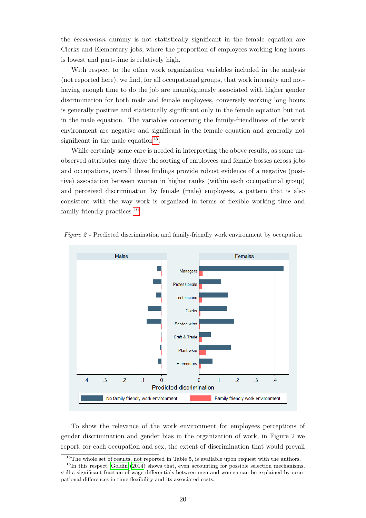the bosswoman dummy is not statistically significant in the female equation are Clerks and Elementary jobs, where the proportion of employees working long hours is lowest and part-time is relatively high.

With respect to the other work organization variables included in the analysis (not reported here), we find, for all occupational groups, that work intensity and nothaving enough time to do the job are unambiguously associated with higher gender discrimination for both male and female employees, conversely working long hours is generally positive and statistically significant only in the female equation but not in the male equation. The variables concerning the family-friendliness of the work environment are negative and significant in the female equation and generally not significant in the male equation $^{15}$  $^{15}$  $^{15}$ .

While certainly some care is needed in interpreting the above results, as some unobserved attributes may drive the sorting of employees and female bosses across jobs and occupations, overall these findings provide robust evidence of a negative (positive) association between women in higher ranks (within each occupational group) and perceived discrimination by female (male) employees, a pattern that is also consistent with the way work is organized in terms of flexible working time and family-friendly practices  $^{16}$  $^{16}$  $^{16}$ .



Figure 2 - Predicted discrimination and family-friendly work environment by occupation

To show the relevance of the work environment for employees perceptions of gender discrimination and gender bias in the organization of work, in Figure 2 we report, for each occupation and sex, the extent of discrimination that would prevail

<sup>&</sup>lt;sup>15</sup>The whole set of results, not reported in Table 5, is available upon request with the authors.

 $16$ In this respect, [Goldin](#page-33-0) [\(2014\)](#page-33-0) shows that, even accounting for possible selection mechanisms, still a significant fraction of wage differentials between men and women can be explained by occupational differences in time flexibility and its associated costs.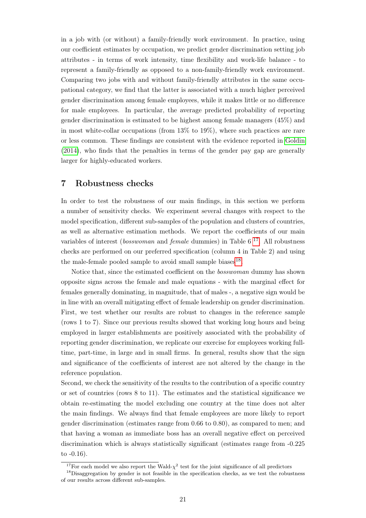in a job with (or without) a family-friendly work environment. In practice, using our coefficient estimates by occupation, we predict gender discrimination setting job attributes - in terms of work intensity, time flexibility and work-life balance - to represent a family-friendly as opposed to a non-family-friendly work environment. Comparing two jobs with and without family-friendly attributes in the same occupational category, we find that the latter is associated with a much higher perceived gender discrimination among female employees, while it makes little or no difference for male employees. In particular, the average predicted probability of reporting gender discrimination is estimated to be highest among female managers (45%) and in most white-collar occupations (from 13% to 19%), where such practices are rare or less common. These findings are consistent with the evidence reported in [Goldin](#page-33-0) [\(2014\)](#page-33-0), who finds that the penalties in terms of the gender pay gap are generally larger for highly-educated workers.

#### 7 Robustness checks

In order to test the robustness of our main findings, in this section we perform a number of sensitivity checks. We experiment several changes with respect to the model specification, different sub-samples of the population and clusters of countries, as well as alternative estimation methods. We report the coefficients of our main variables of interest (*bosswoman* and *female* dummies) in Table  $6^{17}$  $6^{17}$  $6^{17}$ . All robustness checks are performed on our preferred specification (column 4 in Table 2) and using the male-female pooled sample to avoid small sample biases<sup>[18](#page--1-0)</sup>.

Notice that, since the estimated coefficient on the bosswoman dummy has shown opposite signs across the female and male equations - with the marginal effect for females generally dominating, in magnitude, that of males -, a negative sign would be in line with an overall mitigating effect of female leadership on gender discrimination. First, we test whether our results are robust to changes in the reference sample (rows 1 to 7). Since our previous results showed that working long hours and being employed in larger establishments are positively associated with the probability of reporting gender discrimination, we replicate our exercise for employees working fulltime, part-time, in large and in small firms. In general, results show that the sign and significance of the coefficients of interest are not altered by the change in the reference population.

Second, we check the sensitivity of the results to the contribution of a specific country or set of countries (rows 8 to 11). The estimates and the statistical significance we obtain re-estimating the model excluding one country at the time does not alter the main findings. We always find that female employees are more likely to report gender discrimination (estimates range from 0.66 to 0.80), as compared to men; and that having a woman as immediate boss has an overall negative effect on perceived discrimination which is always statistically significant (estimates range from -0.225 to -0.16).

<sup>&</sup>lt;sup>17</sup>For each model we also report the Wald- $\chi^2$  test for the joint significance of all predictors

<sup>&</sup>lt;sup>18</sup>Disaggregation by gender is not feasible in the specification checks, as we test the robustness of our results across different sub-samples.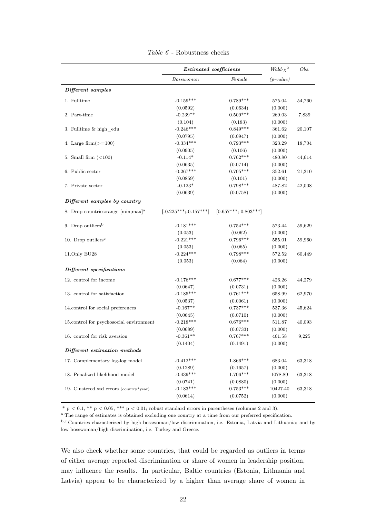|                                                  | <b>Estimated</b> coefficients |                        | Wald- $\chi^2$ | Obs.   |
|--------------------------------------------------|-------------------------------|------------------------|----------------|--------|
|                                                  | $\it Bosswoman$               | Female                 | $(p-value)$    |        |
| Different samples                                |                               |                        |                |        |
| 1. Fulltime                                      | $-0.159***$                   | $0.789***$             | 575.04         | 54,760 |
|                                                  | (0.0592)                      | (0.0634)               | (0.000)        |        |
| 2. Part-time                                     | $-0.239**$                    | $0.509***$             | 269.03         | 7,839  |
|                                                  | (0.104)                       | (0.183)                | (0.000)        |        |
| 3. Fulltime & high edu                           | $-0.246***$                   | $0.849***$             | 361.62         | 20,107 |
|                                                  | (0.0795)                      | (0.0947)               | (0.000)        |        |
| 4. Large firm $(\geq=100)$                       | $-0.334***$                   | $0.793***$             | 323.29         | 18,704 |
|                                                  | (0.0905)                      | (0.106)                | (0.000)        |        |
| 5. Small firm $(<100$ )                          | $-0.114*$                     | $0.762***$             | 480.80         | 44,614 |
|                                                  | (0.0635)                      | (0.0714)               | (0.000)        |        |
| 6. Public sector                                 | $-0.267***$                   | $0.705***$             | 352.61         | 21,310 |
|                                                  | (0.0859)                      | (0.101)                | (0.000)        |        |
| 7. Private sector                                | $-0.123*$                     | $0.798***$             | 487.82         | 42,008 |
|                                                  | (0.0639)                      | (0.0758)               | (0.000)        |        |
| Different samples by country                     |                               |                        |                |        |
|                                                  |                               |                        |                |        |
| 8. Drop countries: range [min; max] <sup>a</sup> | $[-0.225***; -0.157***]$      | $[0.657***; 0.803***]$ |                |        |
| 9. Drop outliers <sup>b</sup>                    | $-0.181***$                   | $0.754***$             | 573.44         | 59,629 |
|                                                  | (0.053)                       | (0.062)                | (0.000)        |        |
| 10. Drop outliers <sup>c</sup>                   | $-0.221***$                   | $0.796***$             | 555.01         | 59,960 |
|                                                  | (0.053)                       | (0.065)                | (0.000)        |        |
| 11.Only EU28                                     | $-0.224***$                   | $0.798***$             | 572.52         | 60,449 |
|                                                  | (0.053)                       | (0.064)                | (0.000)        |        |
| Different specifications                         |                               |                        |                |        |
| 12. control for income                           | $-0.176***$                   | $0.677***$             | 426.26         | 44,279 |
|                                                  | (0.0647)                      | (0.0731)               | (0.000)        |        |
| 13. control for satisfaction                     | $-0.185***$                   | $0.761***$             | 658.99         | 62,970 |
|                                                  | (0.0537)                      | (0.0061)               | (0.000)        |        |
| 14.control for social preferences                | $-0.167**$                    | $0.737***$             | 537.36         | 45,624 |
|                                                  | (0.0645)                      | (0.0710)               | (0.000)        |        |
| 15.control for psychosocial environment          | $-0.218***$                   | $0.676***$             | 511.87         | 40,093 |
|                                                  | (0.0689)                      | (0.0733)               | (0.000)        |        |
| 16. control for risk aversion                    | $-0.361**$                    | $0.767***$             | 461.58         | 9,225  |
|                                                  | (0.1404)                      | (0.1491)               | (0.000)        |        |
| Different estimation methods                     |                               |                        |                |        |
| 17. Complementary log-log model                  | $-0.412***$                   | $1.866***$             | 683.04         | 63,318 |
|                                                  | (0.1289)                      | (0.1657)               | (0.000)        |        |
| 18. Penalized likelihood model                   | $-0.439***$                   | 1.706***               | 1078.89        | 63,318 |
|                                                  | (0.0741)                      | (0.0880)               | (0.000)        |        |
| 19. Clustered std errors (country*year)          | $-0.183***$                   | $0.753***$             | 10427.40       | 63,318 |
|                                                  | (0.0614)                      | (0.0752)               | (0.000)        |        |
|                                                  |                               |                        |                |        |

Table  $6$  - Robustness checks

 $* p < 0.1, ** p < 0.05, *** p < 0.01$ ; robust standard errors in parentheses (columns 2 and 3).

<sup>a</sup> The range of estimates is obtained excluding one country at a time from our preferred specification.

b,c Countries characterized by high bosswoman/low discrimination, i.e. Estonia, Latvia and Lithuania; and by low bosswoman/high discrimination, i.e. Turkey and Greece.

We also check whether some countries, that could be regarded as outliers in terms of either average reported discrimination or share of women in leadership position, may influence the results. In particular, Baltic countries (Estonia, Lithuania and Latvia) appear to be characterized by a higher than average share of women in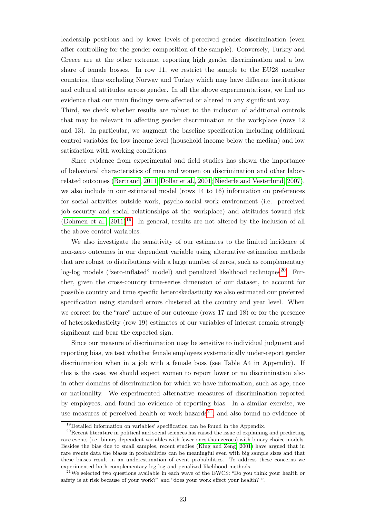leadership positions and by lower levels of perceived gender discrimination (even after controlling for the gender composition of the sample). Conversely, Turkey and Greece are at the other extreme, reporting high gender discrimination and a low share of female bosses. In row 11, we restrict the sample to the EU28 member countries, thus excluding Norway and Turkey which may have different institutions and cultural attitudes across gender. In all the above experimentations, we find no evidence that our main findings were affected or altered in any significant way.

Third, we check whether results are robust to the inclusion of additional controls that may be relevant in affecting gender discrimination at the workplace (rows 12 and 13). In particular, we augment the baseline specification including additional control variables for low income level (household income below the median) and low satisfaction with working conditions.

Since evidence from experimental and field studies has shown the importance of behavioral characteristics of men and women on discrimination and other laborrelated outcomes [\(Bertrand, 2011;](#page-32-1) [Dollar et al., 2001;](#page-32-4) [Niederle and Vesterlund, 2007\)](#page-33-4), we also include in our estimated model (rows 14 to 16) information on preferences for social activities outside work, psycho-social work environment (i.e. perceived job security and social relationships at the workplace) and attitudes toward risk (Dohmen et al.,  $2011$ <sup>[19](#page--1-0)</sup>. In general, results are not altered by the inclusion of all the above control variables.

We also investigate the sensitivity of our estimates to the limited incidence of non-zero outcomes in our dependent variable using alternative estimation methods that are robust to distributions with a large number of zeros, such as complementary log-log models ("zero-inflated" model) and penalized likelihood techniques<sup>[20](#page--1-0)</sup>. Further, given the cross-country time-series dimension of our dataset, to account for possible country and time specific heteroskedasticity we also estimated our preferred specification using standard errors clustered at the country and year level. When we correct for the "rare" nature of our outcome (rows 17 and 18) or for the presence of heteroskedasticity (row 19) estimates of our variables of interest remain strongly significant and bear the expected sign.

Since our measure of discrimination may be sensitive to individual judgment and reporting bias, we test whether female employees systematically under-report gender discrimination when in a job with a female boss (see Table A4 in Appendix). If this is the case, we should expect women to report lower or no discrimination also in other domains of discrimination for which we have information, such as age, race or nationality. We experimented alternative measures of discrimination reported by employees, and found no evidence of reporting bias. In a similar exercise, we use measures of perceived health or work hazards<sup>[21](#page--1-0)</sup>, and also found no evidence of

<sup>19</sup>Detailed information on variables' specification can be found in the Appendix.

<sup>20</sup>Recent literature in political and social sciences has raised the issue of explaining and predicting rare events (i.e. binary dependent variables with fewer ones than zeroes) with binary choice models. Besides the bias due to small samples, recent studies [\(King and Zeng, 2001\)](#page-33-15) have argued that in rare events data the biases in probabilities can be meaningful even with big sample sizes and that these biases result in an underestimation of event probabilities. To address these concerns we experimented both complementary log-log and penalized likelihood methods.

<sup>&</sup>lt;sup>21</sup>We selected two questions available in each wave of the EWCS: "Do you think your health or safety is at risk because of your work?" and "does your work effect your health? ".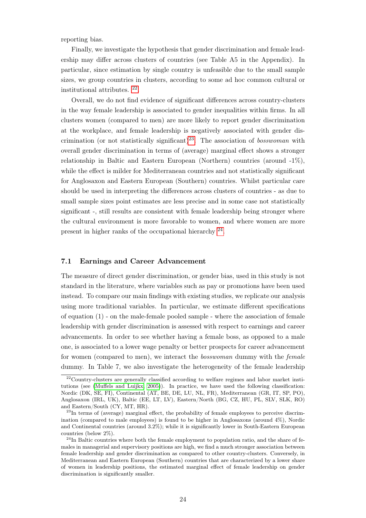reporting bias.

Finally, we investigate the hypothesis that gender discrimination and female leadership may differ across clusters of countries (see Table A5 in the Appendix). In particular, since estimation by single country is unfeasible due to the small sample sizes, we group countries in clusters, according to some ad hoc common cultural or institutional attributes. [22](#page--1-0) .

Overall, we do not find evidence of significant differences across country-clusters in the way female leadership is associated to gender inequalities within firms. In all clusters women (compared to men) are more likely to report gender discrimination at the workplace, and female leadership is negatively associated with gender dis-crimination (or not statistically significant)<sup>[23](#page--1-0)</sup>. The association of *bosswoman* with overall gender discrimination in terms of (average) marginal effect shows a stronger relationship in Baltic and Eastern European (Northern) countries (around  $-1\%$ ), while the effect is milder for Mediterranean countries and not statistically significant for Anglosaxon and Eastern European (Southern) countries. Whilst particular care should be used in interpreting the differences across clusters of countries - as due to small sample sizes point estimates are less precise and in some case not statistically significant -, still results are consistent with female leadership being stronger where the cultural environment is more favorable to women, and where women are more present in higher ranks of the occupational hierarchy  $^{24}$  $^{24}$  $^{24}$ .

#### 7.1 Earnings and Career Advancement

The measure of direct gender discrimination, or gender bias, used in this study is not standard in the literature, where variables such as pay or promotions have been used instead. To compare our main findings with existing studies, we replicate our analysis using more traditional variables. In particular, we estimate different specifications of equation (1) - on the male-female pooled sample - where the association of female leadership with gender discrimination is assessed with respect to earnings and career advancements. In order to see whether having a female boss, as opposed to a male one, is associated to a lower wage penalty or better prospects for career advancement for women (compared to men), we interact the bosswoman dummy with the female dummy. In Table 7, we also investigate the heterogeneity of the female leadership

<sup>&</sup>lt;sup>22</sup>Country-clusters are generally classified according to welfare regimes and labor market institutions (see [\(Muffels and Luijkx, 2005\)](#page-33-16)). In practice, we have used the following classification: Nordic (DK, SE, FI), Continental (AT, BE, DE, LU, NL, FR), Mediterranean (GR, IT, SP, PO), Anglosaxon (IRL, UK), Baltic (EE, LT, LV), Eastern/North (BG, CZ, HU, PL, SLV, SLK, RO) and Eastern/South (CY, MT, HR).

<sup>&</sup>lt;sup>23</sup>In terms of (average) marginal effect, the probability of female employees to perceive discrimination (compared to male employees) is found to be higher in Anglosaxons (around  $4\%$ ), Nordic and Continental countries (around 3.2%); while it is significantly lower in South-Eastern European countries (below 2%).

 $^{24}$ In Baltic countries where both the female employment to population ratio, and the share of females in managerial and supervisory positions are high, we find a much stronger association between female leadership and gender discrimination as compared to other country-clusters. Conversely, in Mediterranean and Eastern European (Southern) countries that are characterized by a lower share of women in leadership positions, the estimated marginal effect of female leadership on gender discrimination is significantly smaller.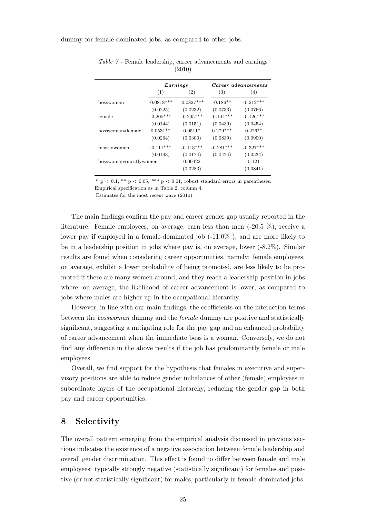dummy for female dominated jobs, as compared to other jobs.

|                       |              | $\bm{Earnings}$ | Career advancements |             |  |
|-----------------------|--------------|-----------------|---------------------|-------------|--|
|                       | (1)          | (2)             | (3)                 | (4)         |  |
| bosswoman             | $-0.0818***$ | $-0.0827***$    | $-0.186**$          | $-0.212***$ |  |
|                       | (0.0225)     | (0.0232)        | (0.0733)            | (0.0766)    |  |
| female                | $-0.205***$  | $-0.205***$     | $-0.144***$         | $-0.126***$ |  |
|                       | (0.0144)     | (0.0151)        | (0.0439)            | (0.0454)    |  |
| bosswoman*female      | $0.0531**$   | $0.0511*$       | $0.279***$          | $0.226**$   |  |
|                       | (0.0264)     | (0.0300)        | (0.0839)            | (0.0900)    |  |
| mostlywomen           | $-0.111***$  | $-0.113***$     | $-0.281***$         | $-0.327***$ |  |
|                       | (0.0143)     | (0.0174)        | (0.0424)            | (0.0534)    |  |
| bosswoman*mostlywomen |              | 0.00422         |                     | 0.121       |  |
|                       |              | (0.0283)        |                     | (0.0841)    |  |

Table 7 - Female leadership, career advancements and earnings (2010)

\* p  $< 0.1$ , \*\* p  $< 0.05$ , \*\*\* p  $< 0.01$ ; robust standard errors in parentheses.

Empirical specification as in Table 2, column 4.

Estimates for the most recent wave (2010).

The main findings confirm the pay and career gender gap usually reported in the literature. Female employees, on average, earn less than men (-20.5 %), receive a lower pay if employed in a female-dominated job  $(-11.0\%)$ , and are more likely to be in a leadership position in jobs where pay is, on average, lower (-8.2%). Similar results are found when considering career opportunities, namely: female employees, on average, exhibit a lower probability of being promoted, are less likely to be promoted if there are many women around, and they reach a leadership position in jobs where, on average, the likelihood of career advancement is lower, as compared to jobs where males are higher up in the occupational hierarchy.

However, in line with our main findings, the coefficients on the interaction terms between the bosswoman dummy and the female dummy are positive and statistically significant, suggesting a mitigating role for the pay gap and an enhanced probability of career advancement when the immediate boss is a woman. Conversely, we do not find any difference in the above results if the job has predominantly female or male employees.

Overall, we find support for the hypothesis that females in executive and supervisory positions are able to reduce gender imbalances of other (female) employees in subordinate layers of the occupational hierarchy, reducing the gender gap in both pay and career opportunities.

#### 8 Selectivity

The overall pattern emerging from the empirical analysis discussed in previous sections indicates the existence of a negative association between female leadership and overall gender discrimination. This effect is found to differ between female and male employees: typically strongly negative (statistically significant) for females and positive (or not statistically significant) for males, particularly in female-dominated jobs.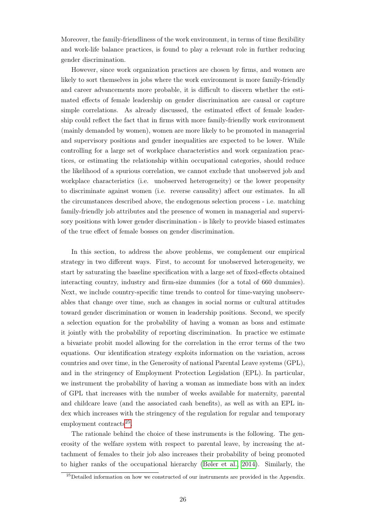Moreover, the family-friendliness of the work environment, in terms of time flexibility and work-life balance practices, is found to play a relevant role in further reducing gender discrimination.

However, since work organization practices are chosen by firms, and women are likely to sort themselves in jobs where the work environment is more family-friendly and career advancements more probable, it is difficult to discern whether the estimated effects of female leadership on gender discrimination are causal or capture simple correlations. As already discussed, the estimated effect of female leadership could reflect the fact that in firms with more family-friendly work environment (mainly demanded by women), women are more likely to be promoted in managerial and supervisory positions and gender inequalities are expected to be lower. While controlling for a large set of workplace characteristics and work organization practices, or estimating the relationship within occupational categories, should reduce the likelihood of a spurious correlation, we cannot exclude that unobserved job and workplace characteristics (i.e. unobserved heterogeneity) or the lower propensity to discriminate against women (i.e. reverse causality) affect our estimates. In all the circumstances described above, the endogenous selection process - i.e. matching family-friendly job attributes and the presence of women in managerial and supervisory positions with lower gender discrimination - is likely to provide biased estimates of the true effect of female bosses on gender discrimination.

In this section, to address the above problems, we complement our empirical strategy in two different ways. First, to account for unobserved heterogeneity, we start by saturating the baseline specification with a large set of fixed-effects obtained interacting country, industry and firm-size dummies (for a total of 660 dummies). Next, we include country-specific time trends to control for time-varying unobservables that change over time, such as changes in social norms or cultural attitudes toward gender discrimination or women in leadership positions. Second, we specify a selection equation for the probability of having a woman as boss and estimate it jointly with the probability of reporting discrimination. In practice we estimate a bivariate probit model allowing for the correlation in the error terms of the two equations. Our identification strategy exploits information on the variation, across countries and over time, in the Generosity of national Parental Leave systems (GPL), and in the stringency of Employment Protection Legislation (EPL). In particular, we instrument the probability of having a woman as immediate boss with an index of GPL that increases with the number of weeks available for maternity, parental and childcare leave (and the associated cash benefits), as well as with an EPL index which increases with the stringency of the regulation for regular and temporary employment contracts<sup>[25](#page--1-0)</sup>.

The rationale behind the choice of these instruments is the following. The generosity of the welfare system with respect to parental leave, by increasing the attachment of females to their job also increases their probability of being promoted to higher ranks of the occupational hierarchy [\(Bøler et al., 2014\)](#page-32-19). Similarly, the

<sup>&</sup>lt;sup>25</sup>Detailed information on how we constructed of our instruments are provided in the Appendix.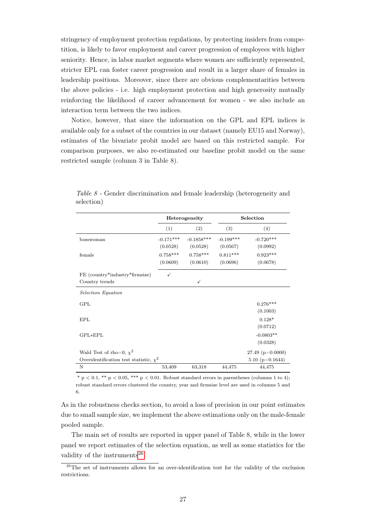stringency of employment protection regulations, by protecting insiders from competition, is likely to favor employment and career progression of employees with higher seniority. Hence, in labor market segments where women are sufficiently represented, stricter EPL can foster career progression and result in a larger share of females in leadership positions. Moreover, since there are obvious complementarities between the above policies - i.e. high employment protection and high generosity mutually reinforcing the likelihood of career advancement for women - we also include an interaction term between the two indices.

Notice, however, that since the information on the GPL and EPL indices is available only for a subset of the countries in our dataset (namely EU15 and Norway), estimates of the bivariate probit model are based on this restricted sample. For comparison purposes, we also re-estimated our baseline probit model on the same restricted sample (column 3 in Table 8).

|                                             |             | Heterogeneity |             | Selection            |
|---------------------------------------------|-------------|---------------|-------------|----------------------|
|                                             | (1)         | (2)           | (3)         | (4)                  |
| bosswoman                                   | $-0.171***$ | $-0.1858***$  | $-0.199***$ | $-0.720***$          |
|                                             | (0.0528)    | (0.0528)      | (0.0567)    | (0.0992)             |
| female                                      | $0.758***$  | $0.758***$    | $0.811***$  | $0.923***$           |
|                                             | (0.0609)    | (0.0610)      | (0.0696)    | (0.0678)             |
| FE (country*industry*firmsize)              | ✓           |               |             |                      |
| Country trends                              |             | ✓             |             |                      |
| Selection Equation                          |             |               |             |                      |
| <b>GPL</b>                                  |             |               |             | $0.276***$           |
|                                             |             |               |             | (0.1003)             |
| EPL                                         |             |               |             | $0.128*$             |
|                                             |             |               |             | (0.0712)             |
| $GPL*EPL$                                   |             |               |             | $-0.0803**$          |
|                                             |             |               |             | (0.0328)             |
| Wald Test of rho=0, $\chi^2$                |             |               |             | 27.49 ( $p=0.0000$ ) |
| Overidentification test statistic, $\chi^2$ |             |               |             | 5.10 ( $p=0.1644$ )  |
| N                                           | 53,409      | 63,318        | 44,475      | 44,475               |

Table 8 - Gender discrimination and female leadership (heterogeneity and selection)

 $*$  p  $< 0.1, **$  p  $< 0.05,***$  p  $< 0.01.$  Robust standard errors in parentheses (columns 1 to 4); robust standard errors clustered the country, year and firmsize level are used in columns 5 and 6.

As in the robustness checks section, to avoid a loss of precision in our point estimates due to small sample size, we implement the above estimations only on the male-female pooled sample.

The main set of results are reported in upper panel of Table 8, while in the lower panel we report estimates of the selection equation, as well as some statistics for the validity of the instruments<sup>[26](#page--1-0)</sup>.

<sup>&</sup>lt;sup>26</sup>The set of instruments allows for an over-identification test for the validity of the exclusion restrictions.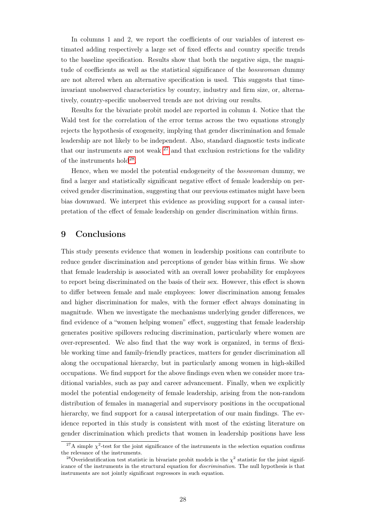In columns 1 and 2, we report the coefficients of our variables of interest estimated adding respectively a large set of fixed effects and country specific trends to the baseline specification. Results show that both the negative sign, the magnitude of coefficients as well as the statistical significance of the *bosswoman* dummy are not altered when an alternative specification is used. This suggests that timeinvariant unobserved characteristics by country, industry and firm size, or, alternatively, country-specific unobserved trends are not driving our results.

Results for the bivariate probit model are reported in column 4. Notice that the Wald test for the correlation of the error terms across the two equations strongly rejects the hypothesis of exogeneity, implying that gender discrimination and female leadership are not likely to be independent. Also, standard diagnostic tests indicate that our instruments are not weak  $27$  and that exclusion restrictions for the validity of the instruments  $hold^{28}$  $hold^{28}$  $hold^{28}$ .

Hence, when we model the potential endogeneity of the bosswoman dummy, we find a larger and statistically significant negative effect of female leadership on perceived gender discrimination, suggesting that our previous estimates might have been bias downward. We interpret this evidence as providing support for a causal interpretation of the effect of female leadership on gender discrimination within firms.

#### 9 Conclusions

This study presents evidence that women in leadership positions can contribute to reduce gender discrimination and perceptions of gender bias within firms. We show that female leadership is associated with an overall lower probability for employees to report being discriminated on the basis of their sex. However, this effect is shown to differ between female and male employees: lower discrimination among females and higher discrimination for males, with the former effect always dominating in magnitude. When we investigate the mechanisms underlying gender differences, we find evidence of a "women helping women" effect, suggesting that female leadership generates positive spillovers reducing discrimination, particularly where women are over-represented. We also find that the way work is organized, in terms of flexible working time and family-friendly practices, matters for gender discrimination all along the occupational hierarchy, but in particularly among women in high-skilled occupations. We find support for the above findings even when we consider more traditional variables, such as pay and career advancement. Finally, when we explicitly model the potential endogeneity of female leadership, arising from the non-random distribution of females in managerial and supervisory positions in the occupational hierarchy, we find support for a causal interpretation of our main findings. The evidence reported in this study is consistent with most of the existing literature on gender discrimination which predicts that women in leadership positions have less

<sup>&</sup>lt;sup>27</sup>A simple  $\chi^2$ -test for the joint significance of the instruments in the selection equation confirms the relevance of the instruments.

<sup>&</sup>lt;sup>28</sup>Overidentification test statistic in bivariate probit models is the  $\chi^2$  statistic for the joint significance of the instruments in the structural equation for discrimination. The null hypothesis is that instruments are not jointly significant regressors in such equation.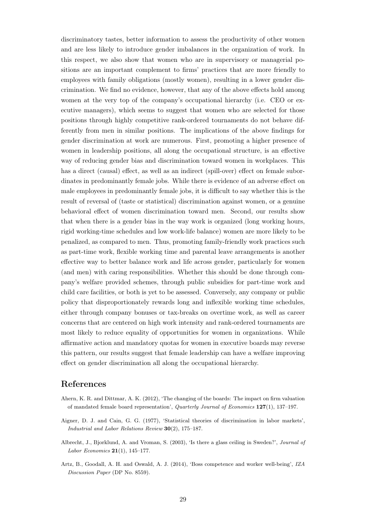discriminatory tastes, better information to assess the productivity of other women and are less likely to introduce gender imbalances in the organization of work. In this respect, we also show that women who are in supervisory or managerial positions are an important complement to firms' practices that are more friendly to employees with family obligations (mostly women), resulting in a lower gender discrimination. We find no evidence, however, that any of the above effects hold among women at the very top of the company's occupational hierarchy (i.e. CEO or executive managers), which seems to suggest that women who are selected for those positions through highly competitive rank-ordered tournaments do not behave differently from men in similar positions. The implications of the above findings for gender discrimination at work are numerous. First, promoting a higher presence of women in leadership positions, all along the occupational structure, is an effective way of reducing gender bias and discrimination toward women in workplaces. This has a direct (causal) effect, as well as an indirect (spill-over) effect on female subordinates in predominantly female jobs. While there is evidence of an adverse effect on male employees in predominantly female jobs, it is difficult to say whether this is the result of reversal of (taste or statistical) discrimination against women, or a genuine behavioral effect of women discrimination toward men. Second, our results show that when there is a gender bias in the way work is organized (long working hours, rigid working-time schedules and low work-life balance) women are more likely to be penalized, as compared to men. Thus, promoting family-friendly work practices such as part-time work, flexible working time and parental leave arrangements is another effective way to better balance work and life across gender, particularly for women (and men) with caring responsibilities. Whether this should be done through company's welfare provided schemes, through public subsidies for part-time work and child care facilities, or both is yet to be assessed. Conversely, any company or public policy that disproportionately rewards long and inflexible working time schedules, either through company bonuses or tax-breaks on overtime work, as well as career concerns that are centered on high work intensity and rank-ordered tournaments are most likely to reduce equality of opportunities for women in organizations. While affirmative action and mandatory quotas for women in executive boards may reverse this pattern, our results suggest that female leadership can have a welfare improving effect on gender discrimination all along the occupational hierarchy.

#### References

- <span id="page-31-0"></span>Ahern, K. R. and Dittmar, A. K. (2012), 'The changing of the boards: The impact on firm valuation of mandated female board representation', Quarterly Journal of Economics 127(1), 137–197.
- <span id="page-31-3"></span>Aigner, D. J. and Cain, G. G. (1977), 'Statistical theories of discrimination in labor markets', Industrial and Labor Relations Review 30(2), 175–187.
- <span id="page-31-2"></span>Albrecht, J., Bjorklund, A. and Vroman, S. (2003), 'Is there a glass ceiling in Sweden?', Journal of Labor Economics  $21(1)$ , 145-177.
- <span id="page-31-1"></span>Artz, B., Goodall, A. H. and Oswald, A. J. (2014), 'Boss competence and worker well-being', IZA Discussion Paper (DP No. 8559).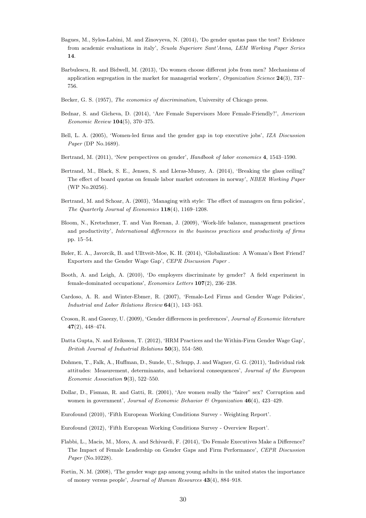- <span id="page-32-12"></span>Bagues, M., Sylos-Labini, M. and Zinovyeva, N. (2014), 'Do gender quotas pass the test? Evidence from academic evaluations in italy', Scuola Superiore Sant'Anna, LEM Working Paper Series 14.
- <span id="page-32-14"></span>Barbulescu, R. and Bidwell, M. (2013), 'Do women choose different jobs from men? Mechanisms of application segregation in the market for managerial workers', Organization Science  $24(3)$ , 737– 756.
- <span id="page-32-10"></span>Becker, G. S. (1957), The economics of discrimination, University of Chicago press.
- <span id="page-32-13"></span>Bednar, S. and Gicheva, D. (2014), 'Are Female Supervisors More Female-Friendly?', American Economic Review 104(5), 370–375.
- <span id="page-32-11"></span>Bell, L. A. (2005), 'Women-led firms and the gender gap in top executive jobs', IZA Discussion Paper (DP No.1689).
- <span id="page-32-1"></span>Bertrand, M. (2011), 'New perspectives on gender', Handbook of labor economics 4, 1543–1590.
- <span id="page-32-0"></span>Bertrand, M., Black, S. E., Jensen, S. and Lleras-Muney, A. (2014), 'Breaking the glass ceiling? The effect of board quotas on female labor market outcomes in norway', NBER Working Paper (WP No.20256).
- <span id="page-32-6"></span>Bertrand, M. and Schoar, A. (2003), 'Managing with style: The effect of managers on firm policies', The Quarterly Journal of Economics 118(4), 1169–1208.
- <span id="page-32-15"></span>Bloom, N., Kretschmer, T. and Van Reenan, J. (2009), 'Work-life balance, management practices and productivity', International differences in the business practices and productivity of firms pp. 15–54.
- <span id="page-32-19"></span>Bøler, E. A., Javorcik, B. and Ulltveit-Moe, K. H. (2014), 'Globalization: A Woman's Best Friend? Exporters and the Gender Wage Gap', CEPR Discussion Paper .
- <span id="page-32-8"></span>Booth, A. and Leigh, A. (2010), 'Do employers discriminate by gender? A field experiment in female-dominated occupations', Economics Letters 107(2), 236–238.
- <span id="page-32-9"></span>Cardoso, A. R. and Winter-Ebmer, R. (2007), 'Female-Led Firms and Gender Wage Policies', Industrial and Labor Relations Review 64(1), 143–163.
- <span id="page-32-2"></span>Croson, R. and Gneezy, U. (2009), 'Gender differences in preferences', Journal of Economic literature 47(2), 448–474.
- <span id="page-32-16"></span>Datta Gupta, N. and Eriksson, T. (2012), 'HRM Practices and the Within-Firm Gender Wage Gap', British Journal of Industrial Relations 50(3), 554–580.
- <span id="page-32-5"></span>Dohmen, T., Falk, A., Huffman, D., Sunde, U., Schupp, J. and Wagner, G. G. (2011), 'Individual risk attitudes: Measurement, determinants, and behavioral consequences', Journal of the European Economic Association 9(3), 522–550.
- <span id="page-32-4"></span>Dollar, D., Fisman, R. and Gatti, R. (2001), 'Are women really the "fairer" sex? Corruption and women in government', Journal of Economic Behavior  $\mathcal{B}$  Organization 46(4), 423-429.
- <span id="page-32-18"></span>Eurofound (2010), 'Fifth European Working Conditions Survey - Weighting Report'.
- <span id="page-32-17"></span>Eurofound (2012), 'Fifth European Working Conditions Survey - Overview Report'.
- <span id="page-32-7"></span>Flabbi, L., Macis, M., Moro, A. and Schivardi, F. (2014), 'Do Female Executives Make a Difference? The Impact of Female Leadership on Gender Gaps and Firm Performance', CEPR Discussion Paper (No.10228).
- <span id="page-32-3"></span>Fortin, N. M. (2008), 'The gender wage gap among young adults in the united states the importance of money versus people', Journal of Human Resources 43(4), 884–918.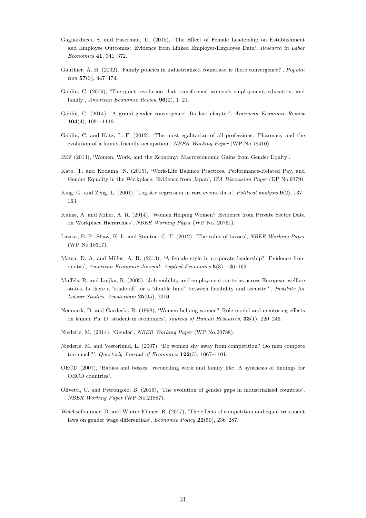- <span id="page-33-9"></span>Gagliarducci, S. and Paserman, D. (2015), 'The Effect of Female Leadership on Establishment and Employee Outcomes: Evidence from Linked Employer-Employee Data', Research in Labor Economics 41, 341–372.
- <span id="page-33-17"></span>Gauthier, A. H. (2002), 'Family policies in industrialized countries: is there convergence?', *Popula*tion 57(3), 447–474.
- <span id="page-33-3"></span>Goldin, C. (2006), 'The quiet revolution that transformed women's employment, education, and family', American Economic Review 96(2), 1–21.
- <span id="page-33-0"></span>Goldin, C. (2014), 'A grand gender convergence: Its last chapter', American Economic Review 104(4), 1091–1119.
- <span id="page-33-13"></span>Goldin, C. and Katz, L. F. (2012), 'The most egalitarian of all professions: Pharmacy and the evolution of a family-friendly occupation', NBER Working Paper (WP No.18410).
- <span id="page-33-6"></span>IMF (2013), 'Women, Work, and the Economy: Macroeconomic Gains from Gender Equity'.
- <span id="page-33-14"></span>Kato, T. and Kodama, N. (2015), 'Work-Life Balance Practices, Performance-Related Pay, and Gender Equality in the Workplace: Evidence from Japan', *IZA Discussion Paper* (DP No.9379).
- <span id="page-33-15"></span>King, G. and Zeng, L. (2001), 'Logistic regression in rare events data', *Political analysis* 9(2), 137– 163.
- <span id="page-33-12"></span>Kunze, A. and Miller, A. R. (2014), 'Women Helping Women? Evidence from Private Sector Data on Workplace Hierarchies', NBER Working Paper (WP No. 20761).
- <span id="page-33-10"></span>Lazear, E. P., Shaw, K. L. and Stanton, C. T. (2012), 'The value of bosses', NBER Working Paper (WP No.18317).
- <span id="page-33-5"></span>Matsa, D. A. and Miller, A. R. (2013), 'A female style in corporate leadership? Evidence from quotas', American Economic Journal: Applied Economics 5(3), 136–169.
- <span id="page-33-16"></span>Muffels, R. and Luijkx, R. (2005), 'Job mobility and employment patterns across European welfare states. Is there a "trade-off" or a "double bind" between flexibility and security?', Institute for Labour Studies, Amsterdam 25(05), 2010.
- <span id="page-33-11"></span>Neumark, D. and Gardecki, R. (1998), 'Women helping women? Role-model and mentoring effects on female Ph. D. student in economics', Journal of Human Resources, 33(1), 220–246.
- <span id="page-33-2"></span>Niederle, M. (2014), 'Gender', NBER Working Paper (WP No.20788).
- <span id="page-33-4"></span>Niederle, M. and Vesterlund, L. (2007), 'Do women shy away from competition? Do men compete too much?', Quarterly Journal of Economics 122(3), 1067–1101.
- <span id="page-33-1"></span>OECD (2007), 'Babies and bosses: reconciling work and family life: A synthesis of findings for OECD countries'.
- <span id="page-33-7"></span>Olivetti, C. and Petrongolo, B. (2016), 'The evolution of gender gaps in industrialized countries', NBER Working Paper (WP No.21887).
- <span id="page-33-8"></span>Weichselbaumer, D. and Winter-Ebmer, R. (2007), 'The effects of competition and equal treatment laws on gender wage differentials', Economic Policy 22(50), 236–287.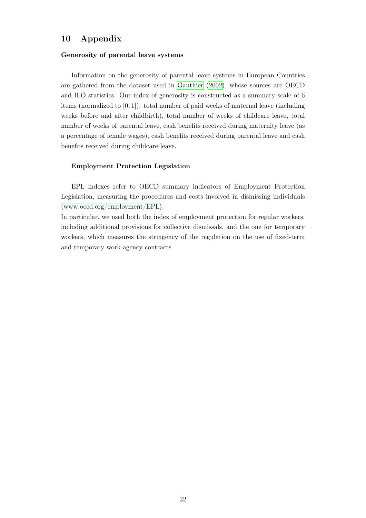### 10 Appendix

#### Generosity of parental leave systems

Information on the generosity of parental leave systems in European Countries are gathered from the dataset used in [Gauthier](#page-33-17) [\(2002\)](#page-33-17), whose sources are OECD and ILO statistics. Our index of generosity is constructed as a summary scale of 6 items (normalized to [0, 1]): total number of paid weeks of maternal leave (including weeks before and after childbirth), total number of weeks of childcare leave, total number of weeks of parental leave, cash benefits received during maternity leave (as a percentage of female wages), cash benefits received during parental leave and cash benefits received during childcare leave.

#### Employment Protection Legislation

EPL indexes refer to OECD summary indicators of Employment Protection Legislation, measuring the procedures and costs involved in dismissing individuals [\(www.oecd.org/employment/EPL\)](http://www.oecd.org/employment/emp/oecdindicatorsofemploymentprotection.htm).

In particular, we used both the index of employment protection for regular workers, including additional provisions for collective dismissals, and the one for temporary workers, which measures the stringency of the regulation on the use of fixed-term and temporary work agency contracts.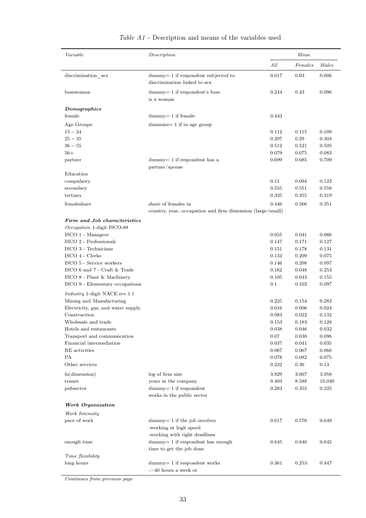| Variable                                                         | Description                                                           |             | Mean        |        |  |
|------------------------------------------------------------------|-----------------------------------------------------------------------|-------------|-------------|--------|--|
|                                                                  |                                                                       | All         | Females     | Males  |  |
| discrimination_sex                                               | dummy= 1 if respondent subjected to<br>discrimination linked to sex   | 0.017       | 0.03        | 0.006  |  |
| bosswoman                                                        | $dummy=1$ if respondent's boss<br>is a woman                          | 0.244       | 0.43        | 0.096  |  |
| Demographics                                                     |                                                                       |             |             |        |  |
| female                                                           | $dummy = 1$ if female                                                 | 0.443       |             |        |  |
| Age Groups:                                                      | $d$ ummies = 1 if in age group                                        |             |             |        |  |
| $15 - 24$                                                        |                                                                       | 0.112       | 0.115       | 0.109  |  |
| $25 - 35$                                                        |                                                                       | 0.297       | 0.29        | 0.303  |  |
| $36 - 55$                                                        |                                                                       | 0.512       | 0.521       | 0.505  |  |
| $56+$                                                            |                                                                       | 0.079       | 0.075       | 0.083  |  |
| partner                                                          | $dummy=1$ if respondent has a<br>partner/spouse                       | 0.699       | 0.685       | 0.709  |  |
| Education<br>compulsory                                          |                                                                       | 0.11        | 0.094       | 0.123  |  |
| secondary                                                        |                                                                       | 0.555       | 0.551       | 0.558  |  |
| tertiary                                                         |                                                                       | 0.335       | 0.355       | 0.319  |  |
| femaleshare                                                      | share of females in                                                   | 0.446       | 0.566       | 0.351  |  |
|                                                                  | country, year, occupation and firm dimension (large/small)            |             |             |        |  |
| Firm and Job characteristics                                     |                                                                       |             |             |        |  |
| Occupation 1-digit ISCO-88                                       |                                                                       |             |             |        |  |
| ISCO 1 - Managers                                                |                                                                       | 0.055       | 0.041       | 0.066  |  |
| ISCO 2 - Professionals                                           |                                                                       | 0.147       | 0.171       | 0.127  |  |
| ISCO 3 - Technicians                                             |                                                                       | 0.151       | 0.178       | 0.131  |  |
| ISCO 4 - Clerks                                                  |                                                                       | 0.134       | 0.209       | 0.075  |  |
| ISCO 5 - Service workers                                         |                                                                       | 0.146       | 0.208       | 0.097  |  |
| ISCO 6 and 7 - Craft & Trade                                     |                                                                       | 0.162       | 0.048       | 0.253  |  |
| ISCO 8 - Plant & Machinery                                       |                                                                       | 0.105       | 0.043       | 0.155  |  |
| ISCO 9 - Elementary occupations                                  |                                                                       | 0.1         | 0.102       | 0.097  |  |
| <i>Industry</i> 1-digit NACE rev.1.1<br>Mining and Manufacturing |                                                                       | 0.225       | 0.154       | 0.282  |  |
| Electricity, gas, and water supply                               |                                                                       | 0.016       | 0.006       | 0.024  |  |
| Construction                                                     |                                                                       | 0.083       | 0.022       | 0.132  |  |
| Wholesale and trade                                              |                                                                       | $\,0.153\,$ | $\rm 0.183$ | 0.128  |  |
| Hotels and restaurants                                           |                                                                       | 0.038       | 0.046       | 0.032  |  |
| Transport and communication                                      |                                                                       | 0.07        | 0.038       | 0.096  |  |
| Financial intermediation                                         |                                                                       | 0.037       | 0.041       | 0.035  |  |
| RE activities                                                    |                                                                       | 0.067       | 0.067       | 0.068  |  |
| <b>PA</b>                                                        |                                                                       | 0.078       | 0.082       | 0.075  |  |
| Other services                                                   |                                                                       | 0.232       | $0.36\,$    | 0.13   |  |
| ln(dimension)                                                    | log of firm size                                                      | 3.829       | 3.667       | 3.958  |  |
| tenure                                                           | years in the company                                                  | 9.403       | 8.588       | 10.049 |  |
| pubsector                                                        | $dump = 1$ if respondent<br>works in the public sector                | 0.283       | 0.355       | 0.225  |  |
|                                                                  |                                                                       |             |             |        |  |
| Work Organization                                                |                                                                       |             |             |        |  |
| Work Intensity                                                   |                                                                       |             |             |        |  |
| pace of work                                                     | $dummy = 1$ if the job involves                                       | 0.617       | 0.576       | 0.649  |  |
|                                                                  | -working at high speed                                                |             |             |        |  |
| enough time                                                      | -working with tight deadlines<br>$dummy = 1$ if respondent has enough | 0.845       | 0.846       | 0.845  |  |
|                                                                  | time to get the job done                                              |             |             |        |  |
| Time flexibility                                                 |                                                                       |             |             |        |  |
| long hours                                                       | $dummy = 1$ if respondent works                                       | 0.361       | 0.253       | 0.447  |  |
|                                                                  | $ >$ 40 hours a week or                                               |             |             |        |  |

### Table A1 - Description and means of the variables used

Continues from previous page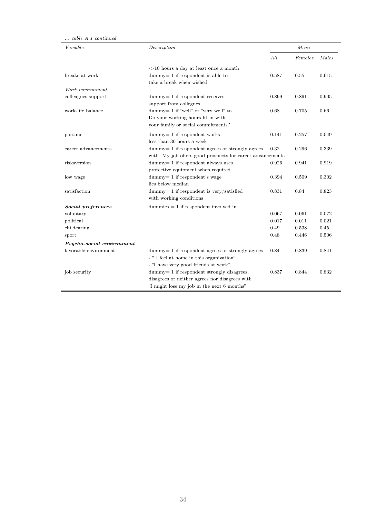| $\ldots$ table A.1 continued |                                                                |       |         |       |
|------------------------------|----------------------------------------------------------------|-------|---------|-------|
| Variable                     | Description                                                    |       | Mean    |       |
|                              |                                                                | All   | Females | Males |
|                              | $-$ >10 hours a day at least once a month                      |       |         |       |
| breaks at work               | $dummy = 1$ if respondent is able to                           | 0.587 | 0.55    | 0.615 |
|                              | take a break when wished                                       |       |         |       |
| Work environment             |                                                                |       |         |       |
| colleagues support           | $dummy = 1$ if respondent receives                             | 0.899 | 0.891   | 0.905 |
|                              | support from collegues                                         |       |         |       |
| work-life balance            | dummy = $1$ if "well" or "very well" to                        | 0.68  | 0.705   | 0.66  |
|                              | Do your working hours fit in with                              |       |         |       |
|                              | your family or social commitments?                             |       |         |       |
| partime                      | $dummy = 1$ if respondent works                                | 0.141 | 0.257   | 0.049 |
|                              | less than 30 hours a week                                      |       |         |       |
| career advancements          | $d$ ummy $= 1$ if respondent agrees or strongly agrees         | 0.32  | 0.296   | 0.339 |
|                              | with "My job offers good prospects for career advancements"    |       |         |       |
| riskaversion                 | dummy= 1 if respondent always uses                             | 0.926 | 0.941   | 0.919 |
|                              | protective equipment when required                             |       |         |       |
| low wage                     | dummy= 1 if respondent's wage                                  | 0.394 | 0.509   | 0.302 |
|                              | lies below median                                              |       |         |       |
| satisfaction                 | dummy= $1$ if respondent is very/satisfied                     | 0.831 | 0.84    | 0.823 |
|                              | with working conditions                                        |       |         |       |
| Social preferences           | $d$ ummies $= 1$ if respondent involved in                     |       |         |       |
| voluntary                    |                                                                | 0.067 | 0.061   | 0.072 |
| political                    |                                                                | 0.017 | 0.011   | 0.021 |
| childcaring                  |                                                                | 0.49  | 0.538   | 0.45  |
| sport                        |                                                                | 0.48  | 0.446   | 0.506 |
| Psycho-social environment    |                                                                |       |         |       |
| favorable environment        | $d_{\text{dummy}} = 1$ if respondent agrees or strongly agrees | 0.84  | 0.839   | 0.841 |
|                              | - " I feel at home in this organization"                       |       |         |       |
|                              | - "I have very good friends at work"                           |       |         |       |
| job security                 | $d$ ummy $= 1$ if respondent strongly disagrees,               | 0.837 | 0.844   | 0.832 |
|                              | disagrees or neither agrees nor disagrees with                 |       |         |       |
|                              | "I might lose my job in the next 6 months"                     |       |         |       |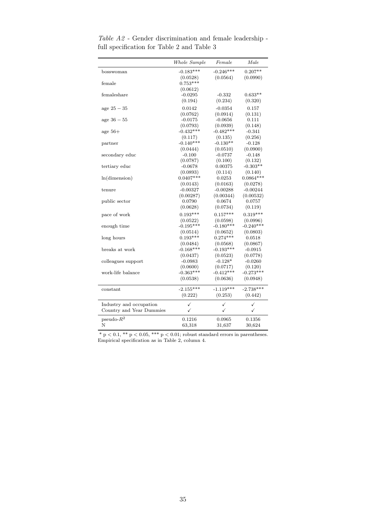|                          | Whole Sample | Female      | Male         |
|--------------------------|--------------|-------------|--------------|
| bosswoman                | $-0.183***$  | $-0.246***$ | $0.207**$    |
|                          | (0.0528)     | (0.0564)    | (0.0990)     |
| female                   | $0.753***$   |             |              |
|                          | (0.0612)     |             |              |
| femaleshare              | $-0.0295$    | $-0.332$    | $0.633**$    |
|                          | (0.194)      | (0.234)     | (0.320)      |
| age $25 - 35$            | 0.0142       | $-0.0354$   | 0.157        |
|                          | (0.0762)     | (0.0914)    | (0.131)      |
| age $36 - 55$            | $-0.0175$    | $-0.0656$   | 0.111        |
|                          | (0.0793)     | (0.0939)    | (0.148)      |
| age $56+$                | $-0.432***$  | $-0.482***$ | $-0.341$     |
|                          | (0.117)      | (0.135)     | (0.256)      |
| partner                  | $-0.140***$  | $-0.130**$  | $-0.128$     |
|                          | (0.0444)     | (0.0510)    | (0.0900)     |
| secondary educ           | $-0.100$     | $-0.0737$   | $-0.148$     |
|                          | (0.0787)     | (0.100)     | (0.132)      |
| tertiary educ            | $-0.0678$    | 0.00375     | $-0.303**$   |
|                          | (0.0893)     | (0.114)     | (0.140)      |
| ln(dimension)            | $0.0407***$  | 0.0253      | $0.0864***$  |
|                          | (0.0143)     | (0.0163)    | (0.0278)     |
| tenure                   | $-0.00327$   | $-0.00288$  | $-0.00244$   |
|                          | (0.00287)    | (0.00344)   | (0.00532)    |
| public sector            | 0.0790       | 0.0674      | 0.0757       |
|                          | (0.0628)     | (0.0734)    | (0.119)      |
| pace of work             | $0.193***$   | $0.157***$  | $0.319***$   |
|                          | (0.0522)     | (0.0598)    | (0.0996)     |
| enough time              | $-0.195***$  | $-0.180***$ | $-0.240***$  |
|                          | (0.0514)     | (0.0652)    | (0.0803)     |
| long hours               | $0.193***$   | $0.274***$  | 0.0518       |
|                          | (0.0484)     | (0.0568)    | (0.0867)     |
| breaks at work           | $-0.168***$  | $-0.193***$ | $-0.0915$    |
|                          | (0.0437)     | (0.0523)    | (0.0778)     |
| colleagues support       | $-0.0983$    | $-0.128*$   | $-0.0260$    |
|                          | (0.0600)     | (0.0717)    | (0.120)      |
| work-life balance        | $-0.363***$  | $-0.412***$ | $-0.273***$  |
|                          | (0.0538)     | (0.0636)    | (0.0948)     |
| constant                 | $-2.155***$  | $-1.119***$ | $-2.738***$  |
|                          | (0.222)      | (0.253)     | (0.442)      |
| Industry and occupation  | ✓            | ✓           | ✓            |
| Country and Year Dummies | $\checkmark$ | ✓           | $\checkmark$ |
|                          |              |             |              |
| $pseudo-R2$              | 0.1216       | 0.0965      | 0.1356       |
| N                        | 63,318       | 31,637      | 30,624       |

Table A2 - Gender discrimination and female leadership full specification for Table 2 and Table 3

 $*$  p  $< 0.1$ ,  $**$  p  $< 0.05$ ,  $**$  p  $< 0.01$ ; robust standard errors in parentheses. Empirical specification as in Table 2, column 4.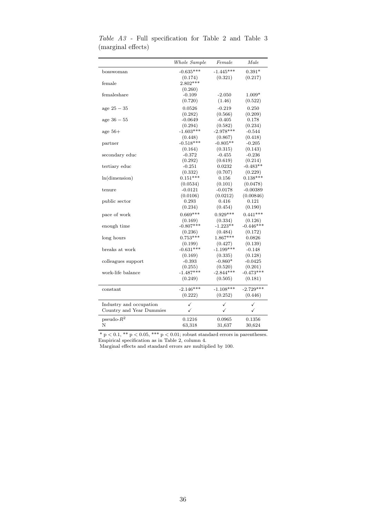|                          | Whole Sample | Female      | Male         |
|--------------------------|--------------|-------------|--------------|
| bosswoman                | $-0.635***$  | $-1.445***$ | $0.391*$     |
|                          | (0.174)      | (0.321)     | (0.217)      |
| female                   | $2.802***$   |             |              |
|                          | (0.260)      |             |              |
| femaleshare              | $-0.109$     | $-2.050$    | $1.009*$     |
|                          | (0.720)      | (1.46)      | (0.522)      |
| age $25 - 35$            | 0.0526       | $-0.219$    | 0.250        |
|                          | (0.282)      | (0.566)     | (0.209)      |
| $age 36 - 55$            | $-0.0649$    | $-0.405$    | 0.178        |
|                          | (0.294)      | (0.582)     | (0.234)      |
| age $56+$                | $-1.603***$  | $-2.978***$ | $-0.544$     |
|                          | (0.448)      | (0.867)     | (0.418)      |
| partner                  | $-0.518***$  | $-0.805**$  | $-0.205$     |
|                          | (0.164)      | (0.315)     | (0.143)      |
| secondary educ           | $-0.372$     | $-0.455$    | $-0.236$     |
|                          | (0.292)      | (0.619)     | (0.214)      |
| tertiary educ            | $-0.251$     | 0.0232      | $-0.483**$   |
|                          | (0.332)      | (0.707)     | (0.229)      |
| ln(dimension)            | $0.151***$   | 0.156       | $0.138***$   |
|                          | (0.0534)     | (0.101)     | (0.0478)     |
| tenure                   | $-0.0121$    | $-0.0178$   | $-0.00389$   |
|                          | (0.0106)     | (0.0212)    | (0.00846)    |
| public sector            | 0.293        | 0.416       | 0.121        |
|                          | (0.234)      | (0.454)     | (0.190)      |
| pace of work             | $0.669***$   | $0.929***$  | $0.441***$   |
|                          | (0.169)      | (0.334)     | (0.126)      |
| enough time              | $-0.807***$  | $-1.223**$  | $-0.446***$  |
|                          | (0.236)      | (0.484)     | (0.172)      |
| long hours               | $0.753***$   | $1.867***$  | 0.0826       |
|                          | (0.199)      | (0.427)     | (0.139)      |
| breaks at work           | $-0.631***$  | $-1.199***$ | $-0.148$     |
|                          | (0.169)      | (0.335)     | (0.128)      |
| colleagues support       | $-0.393$     | $-0.860*$   | $-0.0425$    |
|                          | (0.255)      | (0.520)     | (0.201)      |
| work-life balance        | $-1.487***$  | $-2.844***$ | $-0.473***$  |
|                          | (0.249)      | (0.505)     | (0.181)      |
| constant                 | $-2.146***$  | $-1.108***$ | $-2.729***$  |
|                          | (0.222)      | (0.252)     | (0.446)      |
| Industry and occupation  | ✓            | ✓           | ✓            |
| Country and Year Dummies | ✓            | ✓           | $\checkmark$ |
| $pseudo-R2$              | 0.1216       | 0.0965      | 0.1356       |
|                          |              |             |              |

Table A3 - Full specification for Table 2 and Table 3 (marginal effects)

 $*$  p  $< 0.1$ ,  $**$  p  $< 0.05$ ,  $***$  p  $< 0.01$ ; robust standard errors in parentheses. Empirical specification as in Table 2, column 4.

Marginal effects and standard errors are multiplied by 100.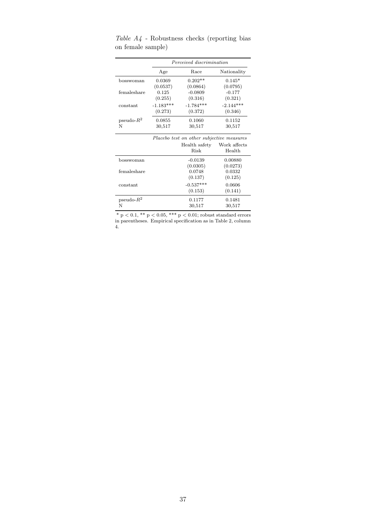|               | Perceived discrimination                  |               |              |  |  |
|---------------|-------------------------------------------|---------------|--------------|--|--|
|               | Age                                       | Race          | Nationality  |  |  |
| bosswoman     | 0.0369                                    | $0.202**$     | $0.145*$     |  |  |
|               | (0.0537)                                  | (0.0864)      | (0.0795)     |  |  |
| femaleshare   | 0.125                                     | $-0.0809$     | $-0.177$     |  |  |
|               | (0.255)                                   | (0.316)       | (0.321)      |  |  |
| constant      | $-1.183***$                               | $-1.784***$   | $-2.144***$  |  |  |
|               | (0.273)                                   | (0.372)       | (0.346)      |  |  |
| pseudo- $R^2$ | 0.0855                                    | 0.1060        | 0.1152       |  |  |
| N             | 30,517                                    | 30,517        | 30,517       |  |  |
|               | Placebo test on other subjective measures |               |              |  |  |
|               |                                           | Health safety | Work affects |  |  |
|               |                                           | Risk          | Health       |  |  |
| bosswoman     |                                           | $-0.0139$     | 0.00880      |  |  |
|               |                                           | (0.0305)      | (0.0273)     |  |  |
| femaleshare   |                                           | 0.0748        | 0.0332       |  |  |
|               |                                           | (0.137)       | (0.125)      |  |  |
| constant      |                                           | $-0.537***$   | 0.0606       |  |  |
|               |                                           | (0.153)       | (0.141)      |  |  |
| $pseudo-R2$   |                                           | 0.1177        | 0.1481       |  |  |
| N             |                                           | 30,517        | 30,517       |  |  |

Table  $A_4$  - Robustness checks (reporting bias on female sample)

\*  $p < 0.1$ , \*\*  $p < 0.05$ , \*\*\*  $p < 0.01$ ; robust standard errors in parentheses. Empirical specification as in Table 2, column 4.